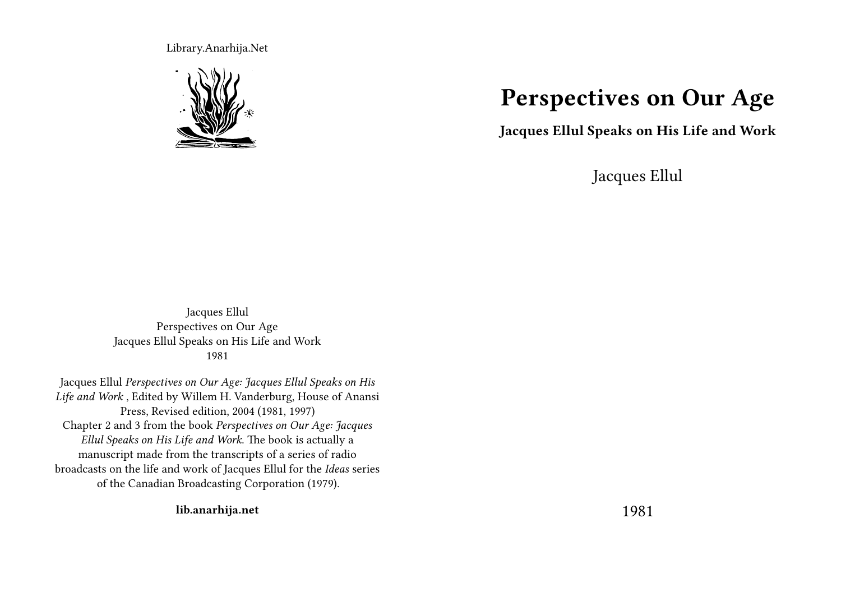Library.Anarhija.Net



## **Perspectives on Our Age**

**Jacques Ellul Speaks on His Life and Work**

Jacques Ellul

Jacques Ellul Perspectives on Our Age Jacques Ellul Speaks on His Life and Work 1981

Jacques Ellul *Perspectives on Our Age: Jacques Ellul Speaks on His Life and Work* , Edited by Willem H. Vanderburg, House of Anansi Press, Revised edition, 2004 (1981, 1997) Chapter 2 and 3 from the book *Perspectives on Our Age: Jacques Ellul Speaks on His Life and Work*. The book is actually a manuscript made from the transcripts of a series of radio broadcasts on the life and work of Jacques Ellul for the *Ideas* series of the Canadian Broadcasting Corporation (1979).

**lib.anarhija.net**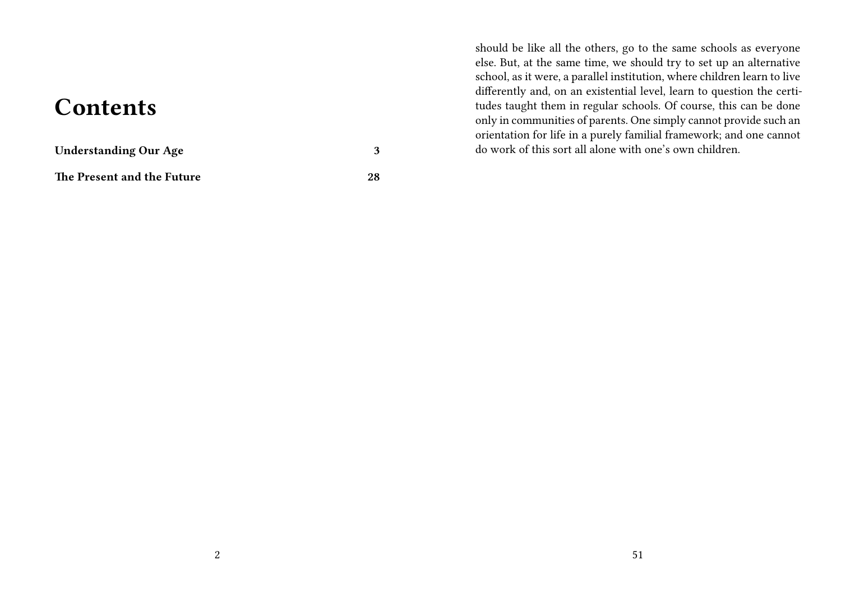## **Contents**

| <b>Understanding Our Age</b> |    |
|------------------------------|----|
| The Present and the Future   | 28 |

should be like all the others, go to the same schools as everyone else. But, at the same time, we should try to set up an alternative school, as it were, a parallel institution, where children learn to live differently and, on an existential level, learn to question the certitudes taught them in regular schools. Of course, this can be done only in communities of parents. One simply cannot provide such an orientation for life in a purely familial framework; and one cannot do work of this sort all alone with one's own children.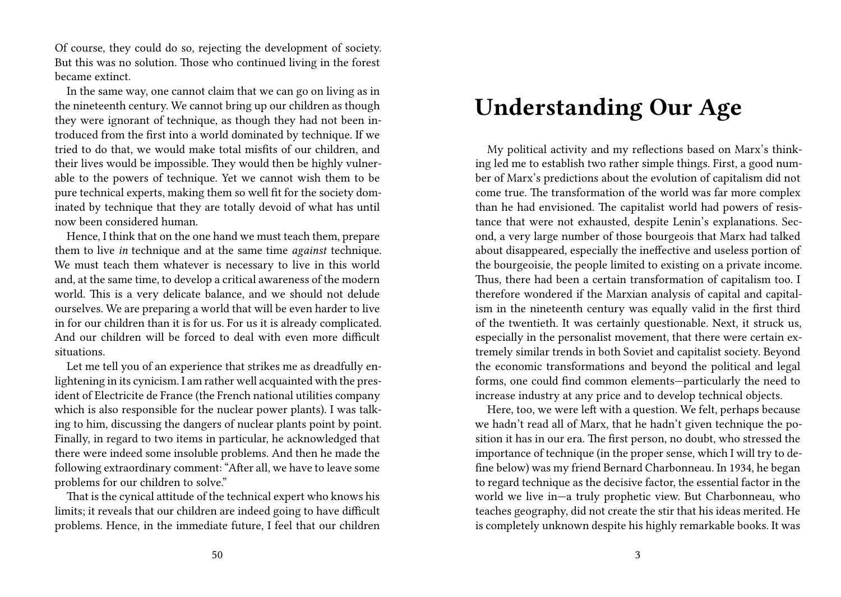Of course, they could do so, rejecting the development of society. But this was no solution. Those who continued living in the forest became extinct.

In the same way, one cannot claim that we can go on living as in the nineteenth century. We cannot bring up our children as though they were ignorant of technique, as though they had not been introduced from the first into a world dominated by technique. If we tried to do that, we would make total misfits of our children, and their lives would be impossible. They would then be highly vulnerable to the powers of technique. Yet we cannot wish them to be pure technical experts, making them so well fit for the society dominated by technique that they are totally devoid of what has until now been considered human.

Hence, I think that on the one hand we must teach them, prepare them to live *in* technique and at the same time *against* technique. We must teach them whatever is necessary to live in this world and, at the same time, to develop a critical awareness of the modern world. This is a very delicate balance, and we should not delude ourselves. We are preparing a world that will be even harder to live in for our children than it is for us. For us it is already complicated. And our children will be forced to deal with even more difficult situations.

Let me tell you of an experience that strikes me as dreadfully enlightening in its cynicism. I am rather well acquainted with the president of Electricite de France (the French national utilities company which is also responsible for the nuclear power plants). I was talking to him, discussing the dangers of nuclear plants point by point. Finally, in regard to two items in particular, he acknowledged that there were indeed some insoluble problems. And then he made the following extraordinary comment: "After all, we have to leave some problems for our children to solve."

That is the cynical attitude of the technical expert who knows his limits; it reveals that our children are indeed going to have difficult problems. Hence, in the immediate future, I feel that our children

## **Understanding Our Age**

My political activity and my reflections based on Marx's thinking led me to establish two rather simple things. First, a good number of Marx's predictions about the evolution of capitalism did not come true. The transformation of the world was far more complex than he had envisioned. The capitalist world had powers of resistance that were not exhausted, despite Lenin's explanations. Second, a very large number of those bourgeois that Marx had talked about disappeared, especially the ineffective and useless portion of the bourgeoisie, the people limited to existing on a private income. Thus, there had been a certain transformation of capitalism too. I therefore wondered if the Marxian analysis of capital and capitalism in the nineteenth century was equally valid in the first third of the twentieth. It was certainly questionable. Next, it struck us, especially in the personalist movement, that there were certain extremely similar trends in both Soviet and capitalist society. Beyond the economic transformations and beyond the political and legal forms, one could find common elements—particularly the need to increase industry at any price and to develop technical objects.

Here, too, we were left with a question. We felt, perhaps because we hadn't read all of Marx, that he hadn't given technique the position it has in our era. The first person, no doubt, who stressed the importance of technique (in the proper sense, which I will try to define below) was my friend Bernard Charbonneau. In 1934, he began to regard technique as the decisive factor, the essential factor in the world we live in—a truly prophetic view. But Charbonneau, who teaches geography, did not create the stir that his ideas merited. He is completely unknown despite his highly remarkable books. It was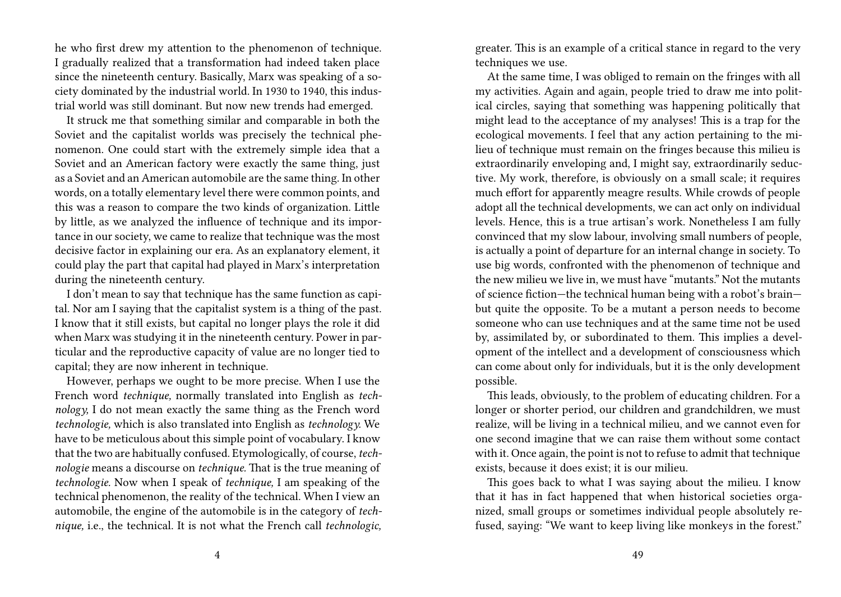he who first drew my attention to the phenomenon of technique. I gradually realized that a transformation had indeed taken place since the nineteenth century. Basically, Marx was speaking of a society dominated by the industrial world. In 1930 to 1940, this industrial world was still dominant. But now new trends had emerged.

It struck me that something similar and comparable in both the Soviet and the capitalist worlds was precisely the technical phenomenon. One could start with the extremely simple idea that a Soviet and an American factory were exactly the same thing, just as a Soviet and an American automobile are the same thing. In other words, on a totally elementary level there were common points, and this was a reason to compare the two kinds of organization. Little by little, as we analyzed the influence of technique and its importance in our society, we came to realize that technique was the most decisive factor in explaining our era. As an explanatory element, it could play the part that capital had played in Marx's interpretation during the nineteenth century.

I don't mean to say that technique has the same function as capital. Nor am I saying that the capitalist system is a thing of the past. I know that it still exists, but capital no longer plays the role it did when Marx was studying it in the nineteenth century. Power in particular and the reproductive capacity of value are no longer tied to capital; they are now inherent in technique.

However, perhaps we ought to be more precise. When I use the French word *technique,* normally translated into English as *technology,* I do not mean exactly the same thing as the French word *technologie,* which is also translated into English as *technology.* We have to be meticulous about this simple point of vocabulary. I know that the two are habitually confused. Etymologically, of course, *technologie* means a discourse on *technique.* That is the true meaning of *technologie.* Now when I speak of *technique,* I am speaking of the technical phenomenon, the reality of the technical. When I view an automobile, the engine of the automobile is in the category of *technique,* i.e., the technical. It is not what the French call *technologic,*

greater. This is an example of a critical stance in regard to the very techniques we use.

At the same time, I was obliged to remain on the fringes with all my activities. Again and again, people tried to draw me into political circles, saying that something was happening politically that might lead to the acceptance of my analyses! This is a trap for the ecological movements. I feel that any action pertaining to the milieu of technique must remain on the fringes because this milieu is extraordinarily enveloping and, I might say, extraordinarily seductive. My work, therefore, is obviously on a small scale; it requires much effort for apparently meagre results. While crowds of people adopt all the technical developments, we can act only on individual levels. Hence, this is a true artisan's work. Nonetheless I am fully convinced that my slow labour, involving small numbers of people, is actually a point of departure for an internal change in society. To use big words, confronted with the phenomenon of technique and the new milieu we live in, we must have "mutants." Not the mutants of science fiction—the technical human being with a robot's brain but quite the opposite. To be a mutant a person needs to become someone who can use techniques and at the same time not be used by, assimilated by, or subordinated to them. This implies a development of the intellect and a development of consciousness which can come about only for individuals, but it is the only development possible.

This leads, obviously, to the problem of educating children. For a longer or shorter period, our children and grandchildren, we must realize, will be living in a technical milieu, and we cannot even for one second imagine that we can raise them without some contact with it. Once again, the point is not to refuse to admit that technique exists, because it does exist; it is our milieu.

This goes back to what I was saying about the milieu. I know that it has in fact happened that when historical societies organized, small groups or sometimes individual people absolutely refused, saying: "We want to keep living like monkeys in the forest."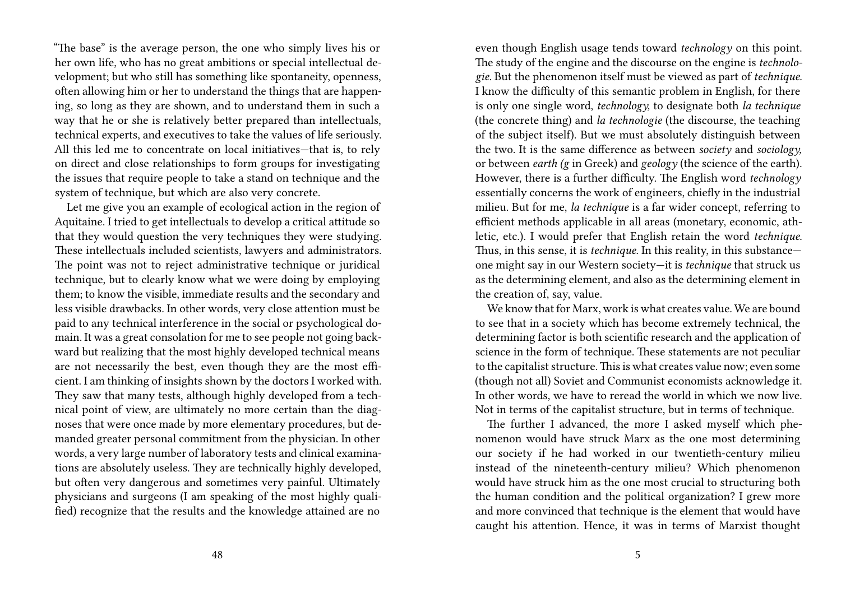"The base" is the average person, the one who simply lives his or her own life, who has no great ambitions or special intellectual development; but who still has something like spontaneity, openness, often allowing him or her to understand the things that are happening, so long as they are shown, and to understand them in such a way that he or she is relatively better prepared than intellectuals, technical experts, and executives to take the values of life seriously. All this led me to concentrate on local initiatives—that is, to rely on direct and close relationships to form groups for investigating the issues that require people to take a stand on technique and the system of technique, but which are also very concrete.

Let me give you an example of ecological action in the region of Aquitaine. I tried to get intellectuals to develop a critical attitude so that they would question the very techniques they were studying. These intellectuals included scientists, lawyers and administrators. The point was not to reject administrative technique or juridical technique, but to clearly know what we were doing by employing them; to know the visible, immediate results and the secondary and less visible drawbacks. In other words, very close attention must be paid to any technical interference in the social or psychological domain. It was a great consolation for me to see people not going backward but realizing that the most highly developed technical means are not necessarily the best, even though they are the most efficient. I am thinking of insights shown by the doctors I worked with. They saw that many tests, although highly developed from a technical point of view, are ultimately no more certain than the diagnoses that were once made by more elementary procedures, but demanded greater personal commitment from the physician. In other words, a very large number of laboratory tests and clinical examinations are absolutely useless. They are technically highly developed, but often very dangerous and sometimes very painful. Ultimately physicians and surgeons (I am speaking of the most highly qualified) recognize that the results and the knowledge attained are no

even though English usage tends toward *technology* on this point. The study of the engine and the discourse on the engine is *technologie.* But the phenomenon itself must be viewed as part of *technique.* I know the difficulty of this semantic problem in English, for there is only one single word, *technology,* to designate both *la technique* (the concrete thing) and *la technologie* (the discourse, the teaching of the subject itself). But we must absolutely distinguish between the two. It is the same difference as between *society* and *sociology,* or between *earth (g* in Greek) and *geology* (the science of the earth). However, there is a further difficulty. The English word *technology* essentially concerns the work of engineers, chiefly in the industrial milieu. But for me, *la technique* is a far wider concept, referring to efficient methods applicable in all areas (monetary, economic, athletic, etc.). I would prefer that English retain the word *technique.* Thus, in this sense, it is *technique.* In this reality, in this substance one might say in our Western society—it is *technique* that struck us as the determining element, and also as the determining element in the creation of, say, value.

We know that for Marx, work is what creates value. We are bound to see that in a society which has become extremely technical, the determining factor is both scientific research and the application of science in the form of technique. These statements are not peculiar to the capitalist structure.This is what creates value now; even some (though not all) Soviet and Communist economists acknowledge it. In other words, we have to reread the world in which we now live. Not in terms of the capitalist structure, but in terms of technique.

The further I advanced, the more I asked myself which phenomenon would have struck Marx as the one most determining our society if he had worked in our twentieth-century milieu instead of the nineteenth-century milieu? Which phenomenon would have struck him as the one most crucial to structuring both the human condition and the political organization? I grew more and more convinced that technique is the element that would have caught his attention. Hence, it was in terms of Marxist thought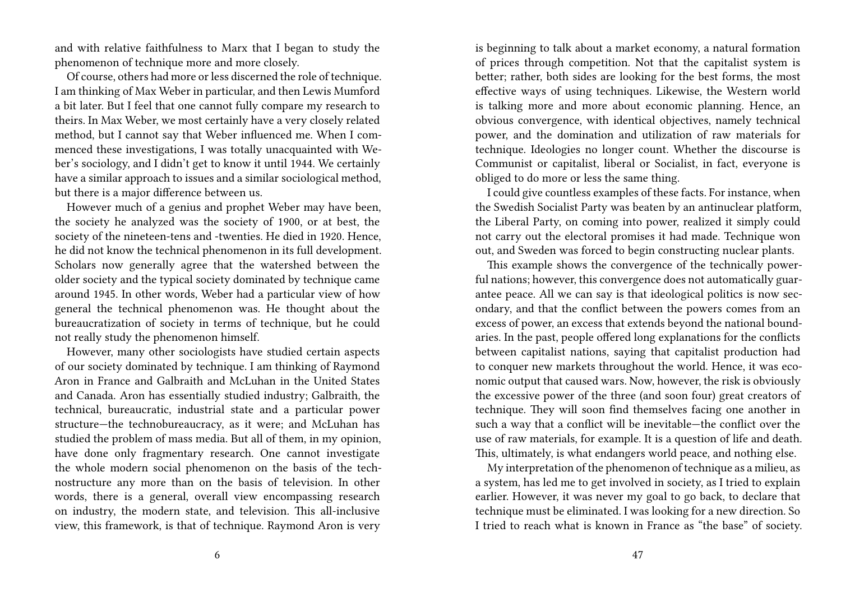and with relative faithfulness to Marx that I began to study the phenomenon of technique more and more closely.

Of course, others had more or less discerned the role of technique. I am thinking of Max Weber in particular, and then Lewis Mumford a bit later. But I feel that one cannot fully compare my research to theirs. In Max Weber, we most certainly have a very closely related method, but I cannot say that Weber influenced me. When I commenced these investigations, I was totally unacquainted with Weber's sociology, and I didn't get to know it until 1944. We certainly have a similar approach to issues and a similar sociological method, but there is a major difference between us.

However much of a genius and prophet Weber may have been, the society he analyzed was the society of 1900, or at best, the society of the nineteen-tens and -twenties. He died in 1920. Hence, he did not know the technical phenomenon in its full development. Scholars now generally agree that the watershed between the older society and the typical society dominated by technique came around 1945. In other words, Weber had a particular view of how general the technical phenomenon was. He thought about the bureaucratization of society in terms of technique, but he could not really study the phenomenon himself.

However, many other sociologists have studied certain aspects of our society dominated by technique. I am thinking of Raymond Aron in France and Galbraith and McLuhan in the United States and Canada. Aron has essentially studied industry; Galbraith, the technical, bureaucratic, industrial state and a particular power structure—the technobureaucracy, as it were; and McLuhan has studied the problem of mass media. But all of them, in my opinion, have done only fragmentary research. One cannot investigate the whole modern social phenomenon on the basis of the technostructure any more than on the basis of television. In other words, there is a general, overall view encompassing research on industry, the modern state, and television. This all-inclusive view, this framework, is that of technique. Raymond Aron is very

is beginning to talk about a market economy, a natural formation of prices through competition. Not that the capitalist system is better; rather, both sides are looking for the best forms, the most effective ways of using techniques. Likewise, the Western world is talking more and more about economic planning. Hence, an obvious convergence, with identical objectives, namely technical power, and the domination and utilization of raw materials for technique. Ideologies no longer count. Whether the discourse is Communist or capitalist, liberal or Socialist, in fact, everyone is obliged to do more or less the same thing.

I could give countless examples of these facts. For instance, when the Swedish Socialist Party was beaten by an antinuclear platform, the Liberal Party, on coming into power, realized it simply could not carry out the electoral promises it had made. Technique won out, and Sweden was forced to begin constructing nuclear plants.

This example shows the convergence of the technically powerful nations; however, this convergence does not automatically guarantee peace. All we can say is that ideological politics is now secondary, and that the conflict between the powers comes from an excess of power, an excess that extends beyond the national boundaries. In the past, people offered long explanations for the conflicts between capitalist nations, saying that capitalist production had to conquer new markets throughout the world. Hence, it was economic output that caused wars. Now, however, the risk is obviously the excessive power of the three (and soon four) great creators of technique. They will soon find themselves facing one another in such a way that a conflict will be inevitable—the conflict over the use of raw materials, for example. It is a question of life and death. This, ultimately, is what endangers world peace, and nothing else.

My interpretation of the phenomenon of technique as a milieu, as a system, has led me to get involved in society, as I tried to explain earlier. However, it was never my goal to go back, to declare that technique must be eliminated. I was looking for a new direction. So I tried to reach what is known in France as "the base" of society.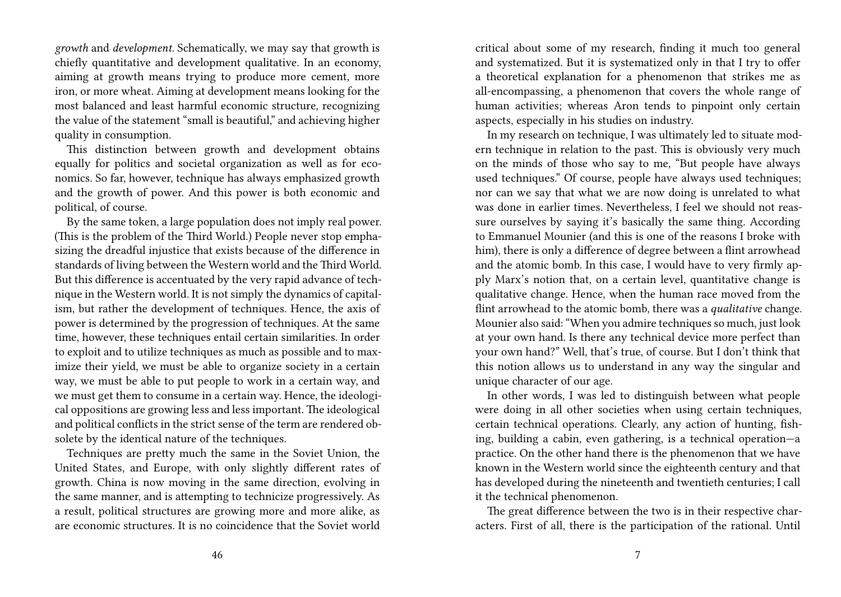*growth* and *development.* Schematically, we may say that growth is chiefly quantitative and development qualitative. In an economy, aiming at growth means trying to produce more cement, more iron, or more wheat. Aiming at development means looking for the most balanced and least harmful economic structure, recognizing the value of the statement "small is beautiful," and achieving higher quality in consumption.

This distinction between growth and development obtains equally for politics and societal organization as well as for economics. So far, however, technique has always emphasized growth and the growth of power. And this power is both economic and political, of course.

By the same token, a large population does not imply real power. (This is the problem of the Third World.) People never stop emphasizing the dreadful injustice that exists because of the difference in standards of living between the Western world and the Third World. But this difference is accentuated by the very rapid advance of technique in the Western world. It is not simply the dynamics of capitalism, but rather the development of techniques. Hence, the axis of power is determined by the progression of techniques. At the same time, however, these techniques entail certain similarities. In order to exploit and to utilize techniques as much as possible and to maximize their yield, we must be able to organize society in a certain way, we must be able to put people to work in a certain way, and we must get them to consume in a certain way. Hence, the ideological oppositions are growing less and less important. The ideological and political conflicts in the strict sense of the term are rendered obsolete by the identical nature of the techniques.

Techniques are pretty much the same in the Soviet Union, the United States, and Europe, with only slightly different rates of growth. China is now moving in the same direction, evolving in the same manner, and is attempting to technicize progressively. As a result, political structures are growing more and more alike, as are economic structures. It is no coincidence that the Soviet world

critical about some of my research, finding it much too general and systematized. But it is systematized only in that I try to offer a theoretical explanation for a phenomenon that strikes me as all-encompassing, a phenomenon that covers the whole range of human activities; whereas Aron tends to pinpoint only certain aspects, especially in his studies on industry.

In my research on technique, I was ultimately led to situate modern technique in relation to the past. This is obviously very much on the minds of those who say to me, "But people have always used techniques." Of course, people have always used techniques; nor can we say that what we are now doing is unrelated to what was done in earlier times. Nevertheless, I feel we should not reassure ourselves by saying it's basically the same thing. According to Emmanuel Mounier (and this is one of the reasons I broke with him), there is only a difference of degree between a flint arrowhead and the atomic bomb. In this case, I would have to very firmly apply Marx's notion that, on a certain level, quantitative change is qualitative change. Hence, when the human race moved from the flint arrowhead to the atomic bomb, there was a *qualitative* change. Mounier also said: "When you admire techniques so much, just look at your own hand. Is there any technical device more perfect than your own hand?" Well, that's true, of course. But I don't think that this notion allows us to understand in any way the singular and unique character of our age.

In other words, I was led to distinguish between what people were doing in all other societies when using certain techniques, certain technical operations. Clearly, any action of hunting, fishing, building a cabin, even gathering, is a technical operation—a practice. On the other hand there is the phenomenon that we have known in the Western world since the eighteenth century and that has developed during the nineteenth and twentieth centuries; I call it the technical phenomenon.

The great difference between the two is in their respective characters. First of all, there is the participation of the rational. Until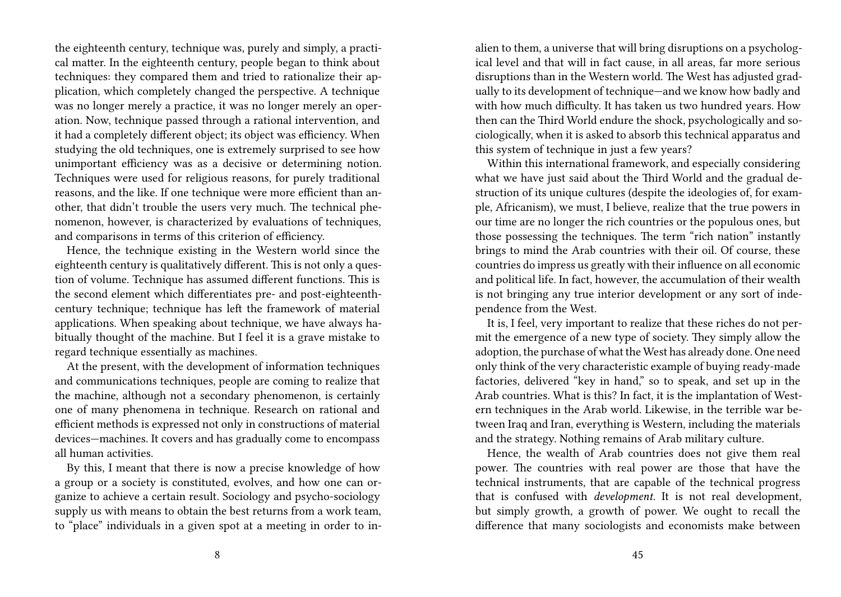the eighteenth century, technique was, purely and simply, a practical matter. In the eighteenth century, people began to think about techniques: they compared them and tried to rationalize their application, which completely changed the perspective. A technique was no longer merely a practice, it was no longer merely an operation. Now, technique passed through a rational intervention, and it had a completely different object; its object was efficiency. When studying the old techniques, one is extremely surprised to see how unimportant efficiency was as a decisive or determining notion. Techniques were used for religious reasons, for purely traditional reasons, and the like. If one technique were more efficient than another, that didn't trouble the users very much. The technical phenomenon, however, is characterized by evaluations of techniques, and comparisons in terms of this criterion of efficiency.

Hence, the technique existing in the Western world since the eighteenth century is qualitatively different. This is not only a question of volume. Technique has assumed different functions. This is the second element which differentiates pre- and post-eighteenthcentury technique; technique has left the framework of material applications. When speaking about technique, we have always habitually thought of the machine. But I feel it is a grave mistake to regard technique essentially as machines.

At the present, with the development of information techniques and communications techniques, people are coming to realize that the machine, although not a secondary phenomenon, is certainly one of many phenomena in technique. Research on rational and efficient methods is expressed not only in constructions of material devices—machines. It covers and has gradually come to encompass all human activities.

By this, I meant that there is now a precise knowledge of how a group or a society is constituted, evolves, and how one can organize to achieve a certain result. Sociology and psycho-sociology supply us with means to obtain the best returns from a work team, to "place" individuals in a given spot at a meeting in order to inalien to them, a universe that will bring disruptions on a psychological level and that will in fact cause, in all areas, far more serious disruptions than in the Western world. The West has adjusted gradually to its development of technique—and we know how badly and with how much difficulty. It has taken us two hundred years. How then can the Third World endure the shock, psychologically and sociologically, when it is asked to absorb this technical apparatus and this system of technique in just a few years?

Within this international framework, and especially considering what we have just said about the Third World and the gradual destruction of its unique cultures (despite the ideologies of, for example, Africanism), we must, I believe, realize that the true powers in our time are no longer the rich countries or the populous ones, but those possessing the techniques. The term "rich nation" instantly brings to mind the Arab countries with their oil. Of course, these countries do impress us greatly with their influence on all economic and political life. In fact, however, the accumulation of their wealth is not bringing any true interior development or any sort of independence from the West.

It is, I feel, very important to realize that these riches do not permit the emergence of a new type of society. They simply allow the adoption, the purchase of what the West has already done. One need only think of the very characteristic example of buying ready-made factories, delivered "key in hand," so to speak, and set up in the Arab countries. What is this? In fact, it is the implantation of Western techniques in the Arab world. Likewise, in the terrible war between Iraq and Iran, everything is Western, including the materials and the strategy. Nothing remains of Arab military culture.

Hence, the wealth of Arab countries does not give them real power. The countries with real power are those that have the technical instruments, that are capable of the technical progress that is confused with *development.* It is not real development, but simply growth, a growth of power. We ought to recall the difference that many sociologists and economists make between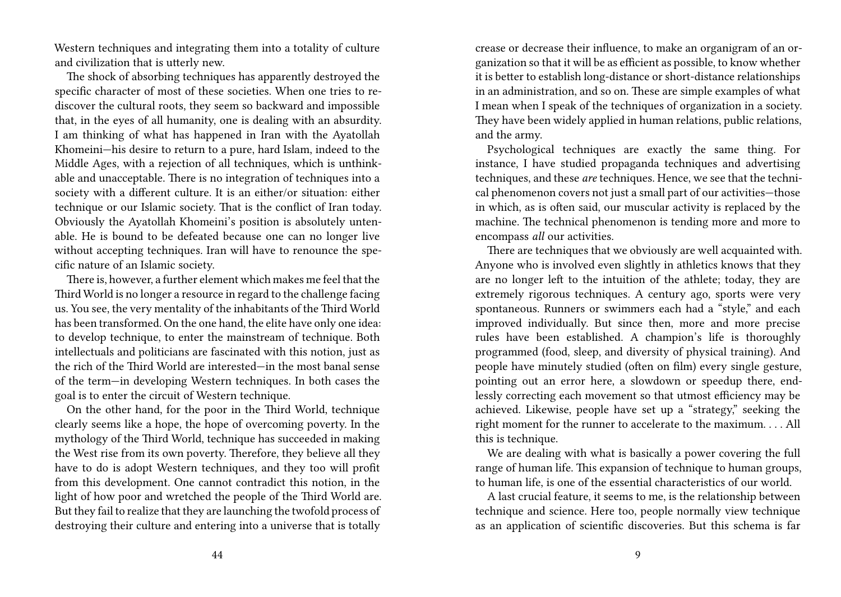Western techniques and integrating them into a totality of culture and civilization that is utterly new.

The shock of absorbing techniques has apparently destroyed the specific character of most of these societies. When one tries to rediscover the cultural roots, they seem so backward and impossible that, in the eyes of all humanity, one is dealing with an absurdity. I am thinking of what has happened in Iran with the Ayatollah Khomeini—his desire to return to a pure, hard Islam, indeed to the Middle Ages, with a rejection of all techniques, which is unthinkable and unacceptable. There is no integration of techniques into a society with a different culture. It is an either/or situation: either technique or our Islamic society. That is the conflict of Iran today. Obviously the Ayatollah Khomeini's position is absolutely untenable. He is bound to be defeated because one can no longer live without accepting techniques. Iran will have to renounce the specific nature of an Islamic society.

There is, however, a further element which makes me feel that the Third World is no longer a resource in regard to the challenge facing us. You see, the very mentality of the inhabitants of the Third World has been transformed. On the one hand, the elite have only one idea: to develop technique, to enter the mainstream of technique. Both intellectuals and politicians are fascinated with this notion, just as the rich of the Third World are interested—in the most banal sense of the term—in developing Western techniques. In both cases the goal is to enter the circuit of Western technique.

On the other hand, for the poor in the Third World, technique clearly seems like a hope, the hope of overcoming poverty. In the mythology of the Third World, technique has succeeded in making the West rise from its own poverty. Therefore, they believe all they have to do is adopt Western techniques, and they too will profit from this development. One cannot contradict this notion, in the light of how poor and wretched the people of the Third World are. But they fail to realize that they are launching the twofold process of destroying their culture and entering into a universe that is totally

crease or decrease their influence, to make an organigram of an organization so that it will be as efficient as possible, to know whether it is better to establish long-distance or short-distance relationships in an administration, and so on. These are simple examples of what I mean when I speak of the techniques of organization in a society. They have been widely applied in human relations, public relations, and the army.

Psychological techniques are exactly the same thing. For instance, I have studied propaganda techniques and advertising techniques, and these *are* techniques. Hence, we see that the technical phenomenon covers not just a small part of our activities—those in which, as is often said, our muscular activity is replaced by the machine. The technical phenomenon is tending more and more to encompass *all* our activities.

There are techniques that we obviously are well acquainted with. Anyone who is involved even slightly in athletics knows that they are no longer left to the intuition of the athlete; today, they are extremely rigorous techniques. A century ago, sports were very spontaneous. Runners or swimmers each had a "style," and each improved individually. But since then, more and more precise rules have been established. A champion's life is thoroughly programmed (food, sleep, and diversity of physical training). And people have minutely studied (often on film) every single gesture, pointing out an error here, a slowdown or speedup there, endlessly correcting each movement so that utmost efficiency may be achieved. Likewise, people have set up a "strategy," seeking the right moment for the runner to accelerate to the maximum. . . . All this is technique.

We are dealing with what is basically a power covering the full range of human life. This expansion of technique to human groups, to human life, is one of the essential characteristics of our world.

A last crucial feature, it seems to me, is the relationship between technique and science. Here too, people normally view technique as an application of scientific discoveries. But this schema is far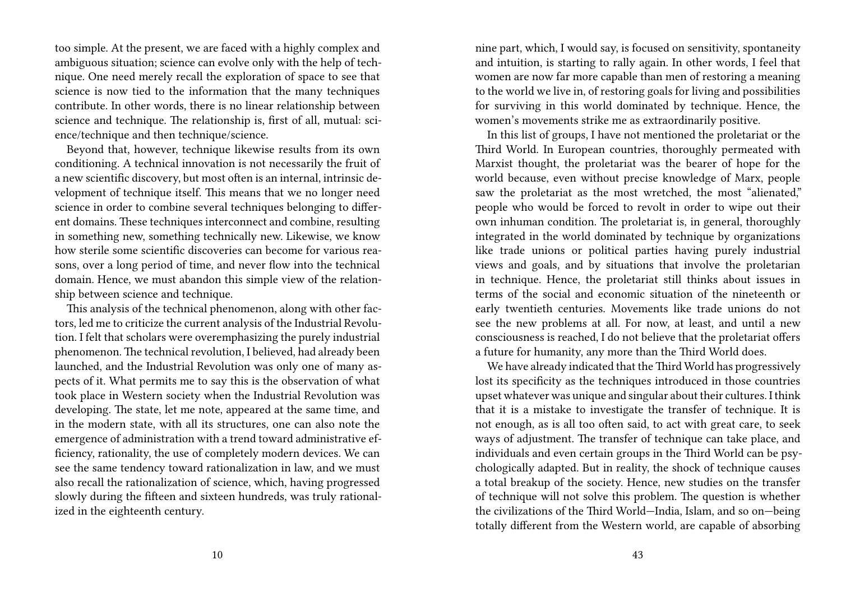too simple. At the present, we are faced with a highly complex and ambiguous situation; science can evolve only with the help of technique. One need merely recall the exploration of space to see that science is now tied to the information that the many techniques contribute. In other words, there is no linear relationship between science and technique. The relationship is, first of all, mutual: science/technique and then technique/science.

Beyond that, however, technique likewise results from its own conditioning. A technical innovation is not necessarily the fruit of a new scientific discovery, but most often is an internal, intrinsic development of technique itself. This means that we no longer need science in order to combine several techniques belonging to different domains. These techniques interconnect and combine, resulting in something new, something technically new. Likewise, we know how sterile some scientific discoveries can become for various reasons, over a long period of time, and never flow into the technical domain. Hence, we must abandon this simple view of the relationship between science and technique.

This analysis of the technical phenomenon, along with other factors, led me to criticize the current analysis of the Industrial Revolution. I felt that scholars were overemphasizing the purely industrial phenomenon. The technical revolution, I believed, had already been launched, and the Industrial Revolution was only one of many aspects of it. What permits me to say this is the observation of what took place in Western society when the Industrial Revolution was developing. The state, let me note, appeared at the same time, and in the modern state, with all its structures, one can also note the emergence of administration with a trend toward administrative efficiency, rationality, the use of completely modern devices. We can see the same tendency toward rationalization in law, and we must also recall the rationalization of science, which, having progressed slowly during the fifteen and sixteen hundreds, was truly rationalized in the eighteenth century.

nine part, which, I would say, is focused on sensitivity, spontaneity and intuition, is starting to rally again. In other words, I feel that women are now far more capable than men of restoring a meaning to the world we live in, of restoring goals for living and possibilities for surviving in this world dominated by technique. Hence, the women's movements strike me as extraordinarily positive.

In this list of groups, I have not mentioned the proletariat or the Third World. In European countries, thoroughly permeated with Marxist thought, the proletariat was the bearer of hope for the world because, even without precise knowledge of Marx, people saw the proletariat as the most wretched, the most "alienated," people who would be forced to revolt in order to wipe out their own inhuman condition. The proletariat is, in general, thoroughly integrated in the world dominated by technique by organizations like trade unions or political parties having purely industrial views and goals, and by situations that involve the proletarian in technique. Hence, the proletariat still thinks about issues in terms of the social and economic situation of the nineteenth or early twentieth centuries. Movements like trade unions do not see the new problems at all. For now, at least, and until a new consciousness is reached, I do not believe that the proletariat offers a future for humanity, any more than the Third World does.

We have already indicated that the Third World has progressively lost its specificity as the techniques introduced in those countries upset whatever was unique and singular about their cultures. I think that it is a mistake to investigate the transfer of technique. It is not enough, as is all too often said, to act with great care, to seek ways of adjustment. The transfer of technique can take place, and individuals and even certain groups in the Third World can be psychologically adapted. But in reality, the shock of technique causes a total breakup of the society. Hence, new studies on the transfer of technique will not solve this problem. The question is whether the civilizations of the Third World—India, Islam, and so on—being totally different from the Western world, are capable of absorbing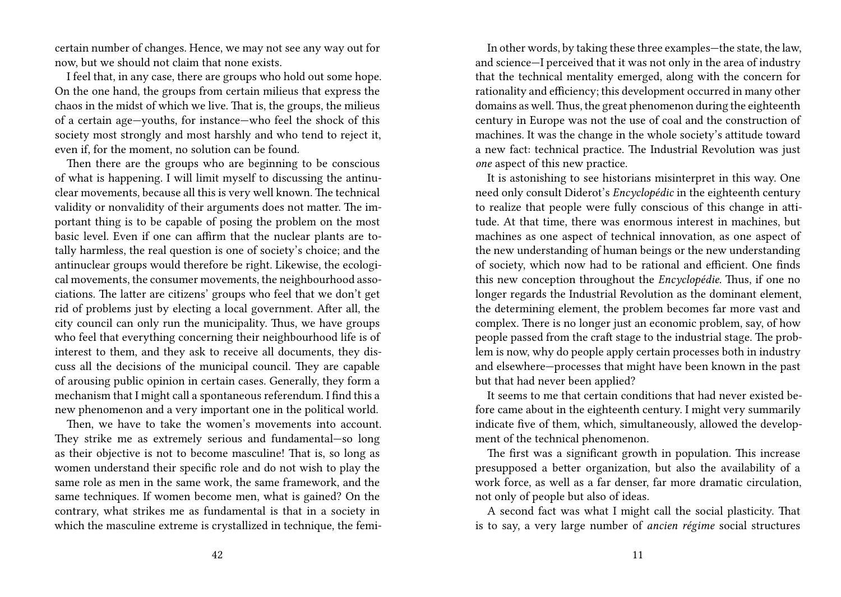certain number of changes. Hence, we may not see any way out for now, but we should not claim that none exists.

I feel that, in any case, there are groups who hold out some hope. On the one hand, the groups from certain milieus that express the chaos in the midst of which we live. That is, the groups, the milieus of a certain age—youths, for instance—who feel the shock of this society most strongly and most harshly and who tend to reject it, even if, for the moment, no solution can be found.

Then there are the groups who are beginning to be conscious of what is happening. I will limit myself to discussing the antinuclear movements, because all this is very well known. The technical validity or nonvalidity of their arguments does not matter. The important thing is to be capable of posing the problem on the most basic level. Even if one can affirm that the nuclear plants are totally harmless, the real question is one of society's choice; and the antinuclear groups would therefore be right. Likewise, the ecological movements, the consumer movements, the neighbourhood associations. The latter are citizens' groups who feel that we don't get rid of problems just by electing a local government. After all, the city council can only run the municipality. Thus, we have groups who feel that everything concerning their neighbourhood life is of interest to them, and they ask to receive all documents, they discuss all the decisions of the municipal council. They are capable of arousing public opinion in certain cases. Generally, they form a mechanism that I might call a spontaneous referendum. I find this a new phenomenon and a very important one in the political world.

Then, we have to take the women's movements into account. They strike me as extremely serious and fundamental—so long as their objective is not to become masculine! That is, so long as women understand their specific role and do not wish to play the same role as men in the same work, the same framework, and the same techniques. If women become men, what is gained? On the contrary, what strikes me as fundamental is that in a society in which the masculine extreme is crystallized in technique, the femi-

In other words, by taking these three examples—the state, the law, and science—I perceived that it was not only in the area of industry that the technical mentality emerged, along with the concern for rationality and efficiency; this development occurred in many other domains as well. Thus, the great phenomenon during the eighteenth century in Europe was not the use of coal and the construction of machines. It was the change in the whole society's attitude toward a new fact: technical practice. The Industrial Revolution was just *one* aspect of this new practice.

It is astonishing to see historians misinterpret in this way. One need only consult Diderot's *Encyclopédic* in the eighteenth century to realize that people were fully conscious of this change in attitude. At that time, there was enormous interest in machines, but machines as one aspect of technical innovation, as one aspect of the new understanding of human beings or the new understanding of society, which now had to be rational and efficient. One finds this new conception throughout the *Encyclopédie.* Thus, if one no longer regards the Industrial Revolution as the dominant element, the determining element, the problem becomes far more vast and complex. There is no longer just an economic problem, say, of how people passed from the craft stage to the industrial stage. The problem is now, why do people apply certain processes both in industry and elsewhere—processes that might have been known in the past but that had never been applied?

It seems to me that certain conditions that had never existed before came about in the eighteenth century. I might very summarily indicate five of them, which, simultaneously, allowed the development of the technical phenomenon.

The first was a significant growth in population. This increase presupposed a better organization, but also the availability of a work force, as well as a far denser, far more dramatic circulation, not only of people but also of ideas.

A second fact was what I might call the social plasticity. That is to say, a very large number of *ancien régime* social structures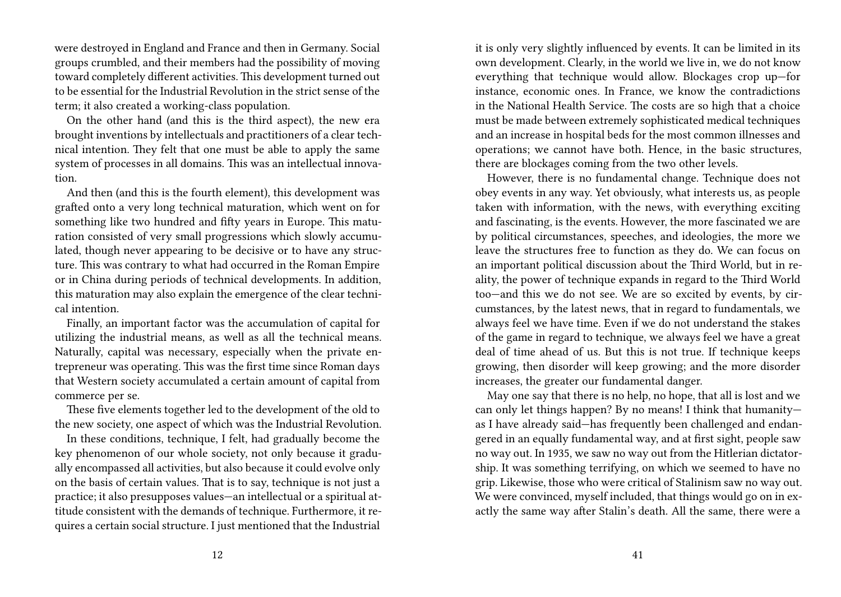were destroyed in England and France and then in Germany. Social groups crumbled, and their members had the possibility of moving toward completely different activities. This development turned out to be essential for the Industrial Revolution in the strict sense of the term; it also created a working-class population.

On the other hand (and this is the third aspect), the new era brought inventions by intellectuals and practitioners of a clear technical intention. They felt that one must be able to apply the same system of processes in all domains. This was an intellectual innovation.

And then (and this is the fourth element), this development was grafted onto a very long technical maturation, which went on for something like two hundred and fifty years in Europe. This maturation consisted of very small progressions which slowly accumulated, though never appearing to be decisive or to have any structure. This was contrary to what had occurred in the Roman Empire or in China during periods of technical developments. In addition, this maturation may also explain the emergence of the clear technical intention.

Finally, an important factor was the accumulation of capital for utilizing the industrial means, as well as all the technical means. Naturally, capital was necessary, especially when the private entrepreneur was operating. This was the first time since Roman days that Western society accumulated a certain amount of capital from commerce per se.

These five elements together led to the development of the old to the new society, one aspect of which was the Industrial Revolution.

In these conditions, technique, I felt, had gradually become the key phenomenon of our whole society, not only because it gradually encompassed all activities, but also because it could evolve only on the basis of certain values. That is to say, technique is not just a practice; it also presupposes values—an intellectual or a spiritual attitude consistent with the demands of technique. Furthermore, it requires a certain social structure. I just mentioned that the Industrial

it is only very slightly influenced by events. It can be limited in its own development. Clearly, in the world we live in, we do not know everything that technique would allow. Blockages crop up—for instance, economic ones. In France, we know the contradictions in the National Health Service. The costs are so high that a choice must be made between extremely sophisticated medical techniques and an increase in hospital beds for the most common illnesses and operations; we cannot have both. Hence, in the basic structures, there are blockages coming from the two other levels.

However, there is no fundamental change. Technique does not obey events in any way. Yet obviously, what interests us, as people taken with information, with the news, with everything exciting and fascinating, is the events. However, the more fascinated we are by political circumstances, speeches, and ideologies, the more we leave the structures free to function as they do. We can focus on an important political discussion about the Third World, but in reality, the power of technique expands in regard to the Third World too—and this we do not see. We are so excited by events, by circumstances, by the latest news, that in regard to fundamentals, we always feel we have time. Even if we do not understand the stakes of the game in regard to technique, we always feel we have a great deal of time ahead of us. But this is not true. If technique keeps growing, then disorder will keep growing; and the more disorder increases, the greater our fundamental danger.

May one say that there is no help, no hope, that all is lost and we can only let things happen? By no means! I think that humanity as I have already said—has frequently been challenged and endangered in an equally fundamental way, and at first sight, people saw no way out. In 1935, we saw no way out from the Hitlerian dictatorship. It was something terrifying, on which we seemed to have no grip. Likewise, those who were critical of Stalinism saw no way out. We were convinced, myself included, that things would go on in exactly the same way after Stalin's death. All the same, there were a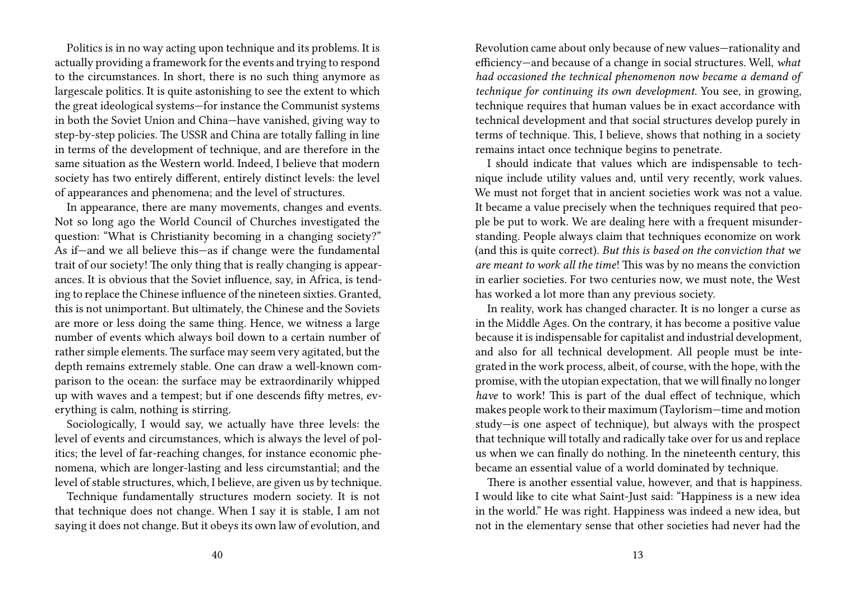Politics is in no way acting upon technique and its problems. It is actually providing a framework for the events and trying to respond to the circumstances. In short, there is no such thing anymore as largescale politics. It is quite astonishing to see the extent to which the great ideological systems—for instance the Communist systems in both the Soviet Union and China—have vanished, giving way to step-by-step policies. The USSR and China are totally falling in line in terms of the development of technique, and are therefore in the same situation as the Western world. Indeed, I believe that modern society has two entirely different, entirely distinct levels: the level of appearances and phenomena; and the level of structures.

In appearance, there are many movements, changes and events. Not so long ago the World Council of Churches investigated the question: "What is Christianity becoming in a changing society?" As if—and we all believe this—as if change were the fundamental trait of our society! The only thing that is really changing is appearances. It is obvious that the Soviet influence, say, in Africa, is tending to replace the Chinese influence of the nineteen sixties. Granted, this is not unimportant. But ultimately, the Chinese and the Soviets are more or less doing the same thing. Hence, we witness a large number of events which always boil down to a certain number of rather simple elements. The surface may seem very agitated, but the depth remains extremely stable. One can draw a well-known comparison to the ocean: the surface may be extraordinarily whipped up with waves and a tempest; but if one descends fifty metres, everything is calm, nothing is stirring.

Sociologically, I would say, we actually have three levels: the level of events and circumstances, which is always the level of politics; the level of far-reaching changes, for instance economic phenomena, which are longer-lasting and less circumstantial; and the level of stable structures, which, I believe, are given us by technique.

Technique fundamentally structures modern society. It is not that technique does not change. When I say it is stable, I am not saying it does not change. But it obeys its own law of evolution, and Revolution came about only because of new values—rationality and efficiency—and because of a change in social structures. Well, *what had occasioned the technical phenomenon now became a demand of technique for continuing its own development.* You see, in growing, technique requires that human values be in exact accordance with technical development and that social structures develop purely in terms of technique. This, I believe, shows that nothing in a society remains intact once technique begins to penetrate.

I should indicate that values which are indispensable to technique include utility values and, until very recently, work values. We must not forget that in ancient societies work was not a value. It became a value precisely when the techniques required that people be put to work. We are dealing here with a frequent misunderstanding. People always claim that techniques economize on work (and this is quite correct). *But this is based on the conviction that we are meant to work all the time*! This was by no means the conviction in earlier societies. For two centuries now, we must note, the West has worked a lot more than any previous society.

In reality, work has changed character. It is no longer a curse as in the Middle Ages. On the contrary, it has become a positive value because it is indispensable for capitalist and industrial development, and also for all technical development. All people must be integrated in the work process, albeit, of course, with the hope, with the promise, with the utopian expectation, that we will finally no longer *have* to work! This is part of the dual effect of technique, which makes people work to their maximum (Taylorism—time and motion study—is one aspect of technique), but always with the prospect that technique will totally and radically take over for us and replace us when we can finally do nothing. In the nineteenth century, this became an essential value of a world dominated by technique.

There is another essential value, however, and that is happiness. I would like to cite what Saint-Just said: "Happiness is a new idea in the world." He was right. Happiness was indeed a new idea, but not in the elementary sense that other societies had never had the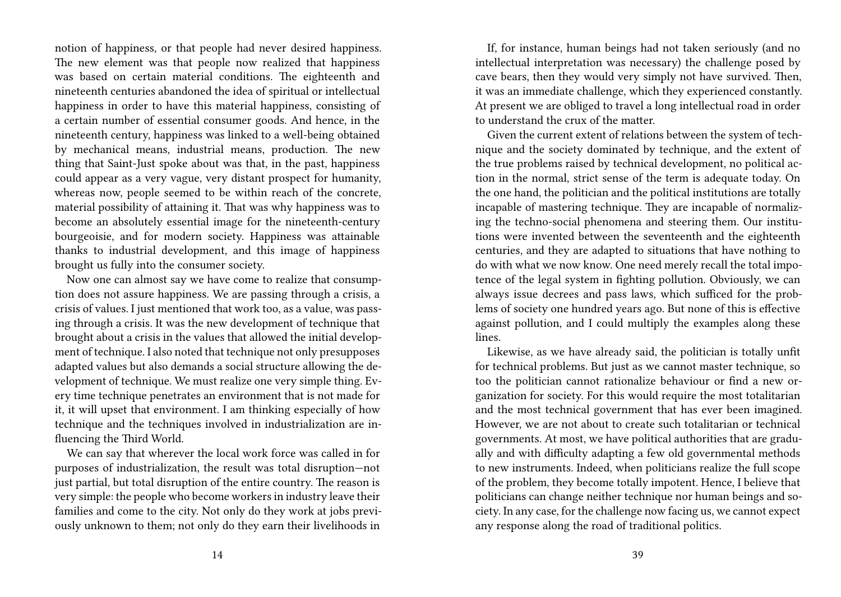notion of happiness, or that people had never desired happiness. The new element was that people now realized that happiness was based on certain material conditions. The eighteenth and nineteenth centuries abandoned the idea of spiritual or intellectual happiness in order to have this material happiness, consisting of a certain number of essential consumer goods. And hence, in the nineteenth century, happiness was linked to a well-being obtained by mechanical means, industrial means, production. The new thing that Saint-Just spoke about was that, in the past, happiness could appear as a very vague, very distant prospect for humanity, whereas now, people seemed to be within reach of the concrete, material possibility of attaining it. That was why happiness was to become an absolutely essential image for the nineteenth-century bourgeoisie, and for modern society. Happiness was attainable thanks to industrial development, and this image of happiness brought us fully into the consumer society.

Now one can almost say we have come to realize that consumption does not assure happiness. We are passing through a crisis, a crisis of values. I just mentioned that work too, as a value, was passing through a crisis. It was the new development of technique that brought about a crisis in the values that allowed the initial development of technique. I also noted that technique not only presupposes adapted values but also demands a social structure allowing the development of technique. We must realize one very simple thing. Every time technique penetrates an environment that is not made for it, it will upset that environment. I am thinking especially of how technique and the techniques involved in industrialization are influencing the Third World.

We can say that wherever the local work force was called in for purposes of industrialization, the result was total disruption—not just partial, but total disruption of the entire country. The reason is very simple: the people who become workers in industry leave their families and come to the city. Not only do they work at jobs previously unknown to them; not only do they earn their livelihoods in

If, for instance, human beings had not taken seriously (and no intellectual interpretation was necessary) the challenge posed by cave bears, then they would very simply not have survived. Then, it was an immediate challenge, which they experienced constantly. At present we are obliged to travel a long intellectual road in order to understand the crux of the matter.

Given the current extent of relations between the system of technique and the society dominated by technique, and the extent of the true problems raised by technical development, no political action in the normal, strict sense of the term is adequate today. On the one hand, the politician and the political institutions are totally incapable of mastering technique. They are incapable of normalizing the techno-social phenomena and steering them. Our institutions were invented between the seventeenth and the eighteenth centuries, and they are adapted to situations that have nothing to do with what we now know. One need merely recall the total impotence of the legal system in fighting pollution. Obviously, we can always issue decrees and pass laws, which sufficed for the problems of society one hundred years ago. But none of this is effective against pollution, and I could multiply the examples along these lines.

Likewise, as we have already said, the politician is totally unfit for technical problems. But just as we cannot master technique, so too the politician cannot rationalize behaviour or find a new organization for society. For this would require the most totalitarian and the most technical government that has ever been imagined. However, we are not about to create such totalitarian or technical governments. At most, we have political authorities that are gradually and with difficulty adapting a few old governmental methods to new instruments. Indeed, when politicians realize the full scope of the problem, they become totally impotent. Hence, I believe that politicians can change neither technique nor human beings and society. In any case, for the challenge now facing us, we cannot expect any response along the road of traditional politics.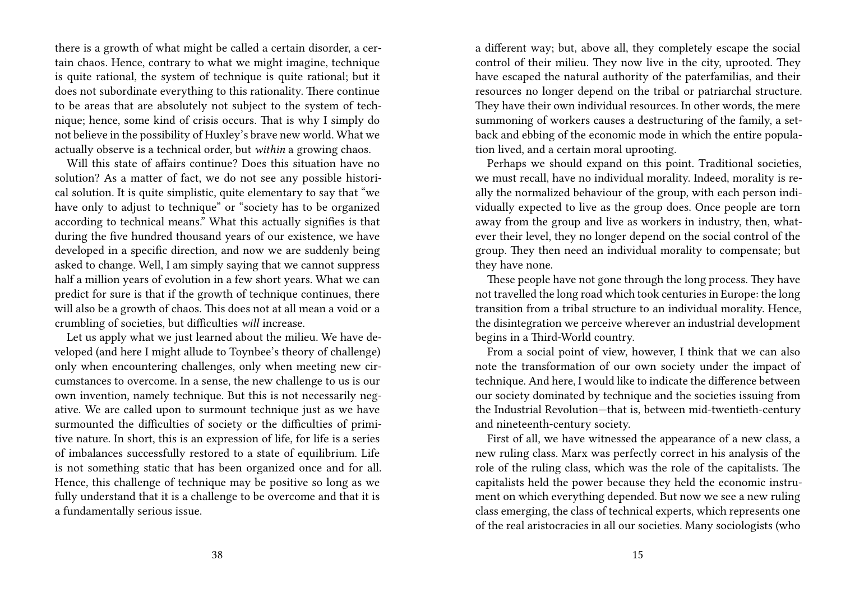there is a growth of what might be called a certain disorder, a certain chaos. Hence, contrary to what we might imagine, technique is quite rational, the system of technique is quite rational; but it does not subordinate everything to this rationality. There continue to be areas that are absolutely not subject to the system of technique; hence, some kind of crisis occurs. That is why I simply do not believe in the possibility of Huxley's brave new world. What we actually observe is a technical order, but *within* a growing chaos.

Will this state of affairs continue? Does this situation have no solution? As a matter of fact, we do not see any possible historical solution. It is quite simplistic, quite elementary to say that "we have only to adjust to technique" or "society has to be organized according to technical means." What this actually signifies is that during the five hundred thousand years of our existence, we have developed in a specific direction, and now we are suddenly being asked to change. Well, I am simply saying that we cannot suppress half a million years of evolution in a few short years. What we can predict for sure is that if the growth of technique continues, there will also be a growth of chaos. This does not at all mean a void or a crumbling of societies, but difficulties *will* increase.

Let us apply what we just learned about the milieu. We have developed (and here I might allude to Toynbee's theory of challenge) only when encountering challenges, only when meeting new circumstances to overcome. In a sense, the new challenge to us is our own invention, namely technique. But this is not necessarily negative. We are called upon to surmount technique just as we have surmounted the difficulties of society or the difficulties of primitive nature. In short, this is an expression of life, for life is a series of imbalances successfully restored to a state of equilibrium. Life is not something static that has been organized once and for all. Hence, this challenge of technique may be positive so long as we fully understand that it is a challenge to be overcome and that it is a fundamentally serious issue.

a different way; but, above all, they completely escape the social control of their milieu. They now live in the city, uprooted. They have escaped the natural authority of the paterfamilias, and their resources no longer depend on the tribal or patriarchal structure. They have their own individual resources. In other words, the mere summoning of workers causes a destructuring of the family, a setback and ebbing of the economic mode in which the entire population lived, and a certain moral uprooting.

Perhaps we should expand on this point. Traditional societies, we must recall, have no individual morality. Indeed, morality is really the normalized behaviour of the group, with each person individually expected to live as the group does. Once people are torn away from the group and live as workers in industry, then, whatever their level, they no longer depend on the social control of the group. They then need an individual morality to compensate; but they have none.

These people have not gone through the long process. They have not travelled the long road which took centuries in Europe: the long transition from a tribal structure to an individual morality. Hence, the disintegration we perceive wherever an industrial development begins in a Third-World country.

From a social point of view, however, I think that we can also note the transformation of our own society under the impact of technique. And here, I would like to indicate the difference between our society dominated by technique and the societies issuing from the Industrial Revolution—that is, between mid-twentieth-century and nineteenth-century society.

First of all, we have witnessed the appearance of a new class, a new ruling class. Marx was perfectly correct in his analysis of the role of the ruling class, which was the role of the capitalists. The capitalists held the power because they held the economic instrument on which everything depended. But now we see a new ruling class emerging, the class of technical experts, which represents one of the real aristocracies in all our societies. Many sociologists (who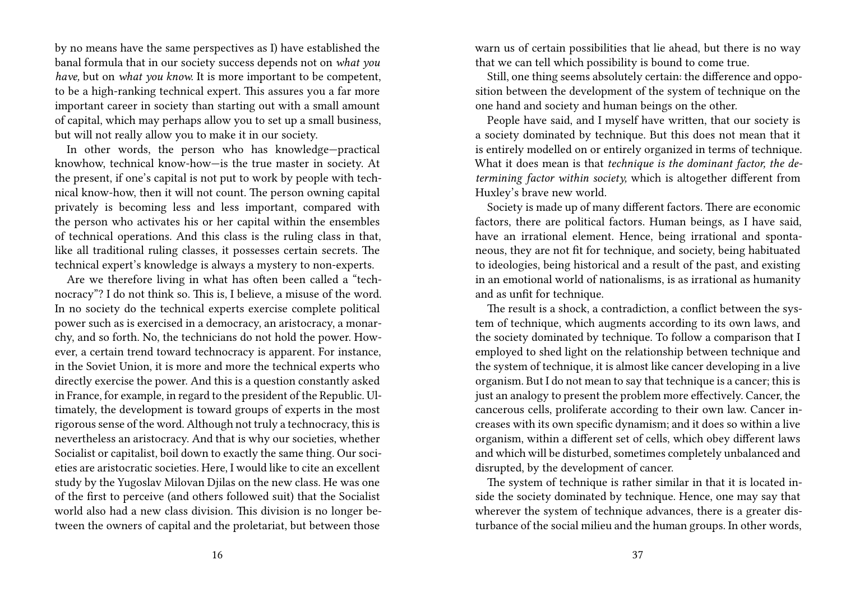by no means have the same perspectives as I) have established the banal formula that in our society success depends not on *what you have,* but on *what you know.* It is more important to be competent, to be a high-ranking technical expert. This assures you a far more important career in society than starting out with a small amount of capital, which may perhaps allow you to set up a small business, but will not really allow you to make it in our society.

In other words, the person who has knowledge—practical knowhow, technical know-how—is the true master in society. At the present, if one's capital is not put to work by people with technical know-how, then it will not count. The person owning capital privately is becoming less and less important, compared with the person who activates his or her capital within the ensembles of technical operations. And this class is the ruling class in that, like all traditional ruling classes, it possesses certain secrets. The technical expert's knowledge is always a mystery to non-experts.

Are we therefore living in what has often been called a "technocracy"? I do not think so. This is, I believe, a misuse of the word. In no society do the technical experts exercise complete political power such as is exercised in a democracy, an aristocracy, a monarchy, and so forth. No, the technicians do not hold the power. However, a certain trend toward technocracy is apparent. For instance, in the Soviet Union, it is more and more the technical experts who directly exercise the power. And this is a question constantly asked in France, for example, in regard to the president of the Republic. Ultimately, the development is toward groups of experts in the most rigorous sense of the word. Although not truly a technocracy, this is nevertheless an aristocracy. And that is why our societies, whether Socialist or capitalist, boil down to exactly the same thing. Our societies are aristocratic societies. Here, I would like to cite an excellent study by the Yugoslav Milovan Djilas on the new class. He was one of the first to perceive (and others followed suit) that the Socialist world also had a new class division. This division is no longer between the owners of capital and the proletariat, but between those

warn us of certain possibilities that lie ahead, but there is no way that we can tell which possibility is bound to come true.

Still, one thing seems absolutely certain: the difference and opposition between the development of the system of technique on the one hand and society and human beings on the other.

People have said, and I myself have written, that our society is a society dominated by technique. But this does not mean that it is entirely modelled on or entirely organized in terms of technique. What it does mean is that *technique is the dominant factor, the determining factor within society,* which is altogether different from Huxley's brave new world.

Society is made up of many different factors. There are economic factors, there are political factors. Human beings, as I have said, have an irrational element. Hence, being irrational and spontaneous, they are not fit for technique, and society, being habituated to ideologies, being historical and a result of the past, and existing in an emotional world of nationalisms, is as irrational as humanity and as unfit for technique.

The result is a shock, a contradiction, a conflict between the system of technique, which augments according to its own laws, and the society dominated by technique. To follow a comparison that I employed to shed light on the relationship between technique and the system of technique, it is almost like cancer developing in a live organism. But I do not mean to say that technique is a cancer; this is just an analogy to present the problem more effectively. Cancer, the cancerous cells, proliferate according to their own law. Cancer increases with its own specific dynamism; and it does so within a live organism, within a different set of cells, which obey different laws and which will be disturbed, sometimes completely unbalanced and disrupted, by the development of cancer.

The system of technique is rather similar in that it is located inside the society dominated by technique. Hence, one may say that wherever the system of technique advances, there is a greater disturbance of the social milieu and the human groups. In other words,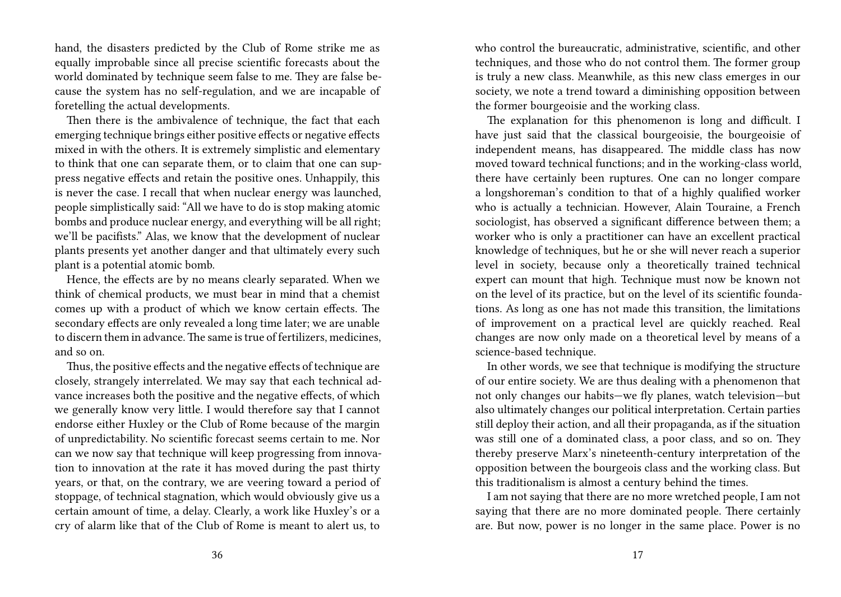hand, the disasters predicted by the Club of Rome strike me as equally improbable since all precise scientific forecasts about the world dominated by technique seem false to me. They are false because the system has no self-regulation, and we are incapable of foretelling the actual developments.

Then there is the ambivalence of technique, the fact that each emerging technique brings either positive effects or negative effects mixed in with the others. It is extremely simplistic and elementary to think that one can separate them, or to claim that one can suppress negative effects and retain the positive ones. Unhappily, this is never the case. I recall that when nuclear energy was launched, people simplistically said: "All we have to do is stop making atomic bombs and produce nuclear energy, and everything will be all right; we'll be pacifists." Alas, we know that the development of nuclear plants presents yet another danger and that ultimately every such plant is a potential atomic bomb.

Hence, the effects are by no means clearly separated. When we think of chemical products, we must bear in mind that a chemist comes up with a product of which we know certain effects. The secondary effects are only revealed a long time later; we are unable to discern them in advance.The same is true of fertilizers, medicines, and so on.

Thus, the positive effects and the negative effects of technique are closely, strangely interrelated. We may say that each technical advance increases both the positive and the negative effects, of which we generally know very little. I would therefore say that I cannot endorse either Huxley or the Club of Rome because of the margin of unpredictability. No scientific forecast seems certain to me. Nor can we now say that technique will keep progressing from innovation to innovation at the rate it has moved during the past thirty years, or that, on the contrary, we are veering toward a period of stoppage, of technical stagnation, which would obviously give us a certain amount of time, a delay. Clearly, a work like Huxley's or a cry of alarm like that of the Club of Rome is meant to alert us, to

who control the bureaucratic, administrative, scientific, and other techniques, and those who do not control them. The former group is truly a new class. Meanwhile, as this new class emerges in our society, we note a trend toward a diminishing opposition between the former bourgeoisie and the working class.

The explanation for this phenomenon is long and difficult. I have just said that the classical bourgeoisie, the bourgeoisie of independent means, has disappeared. The middle class has now moved toward technical functions; and in the working-class world, there have certainly been ruptures. One can no longer compare a longshoreman's condition to that of a highly qualified worker who is actually a technician. However, Alain Touraine, a French sociologist, has observed a significant difference between them; a worker who is only a practitioner can have an excellent practical knowledge of techniques, but he or she will never reach a superior level in society, because only a theoretically trained technical expert can mount that high. Technique must now be known not on the level of its practice, but on the level of its scientific foundations. As long as one has not made this transition, the limitations of improvement on a practical level are quickly reached. Real changes are now only made on a theoretical level by means of a science-based technique.

In other words, we see that technique is modifying the structure of our entire society. We are thus dealing with a phenomenon that not only changes our habits—we fly planes, watch television—but also ultimately changes our political interpretation. Certain parties still deploy their action, and all their propaganda, as if the situation was still one of a dominated class, a poor class, and so on. They thereby preserve Marx's nineteenth-century interpretation of the opposition between the bourgeois class and the working class. But this traditionalism is almost a century behind the times.

I am not saying that there are no more wretched people, I am not saying that there are no more dominated people. There certainly are. But now, power is no longer in the same place. Power is no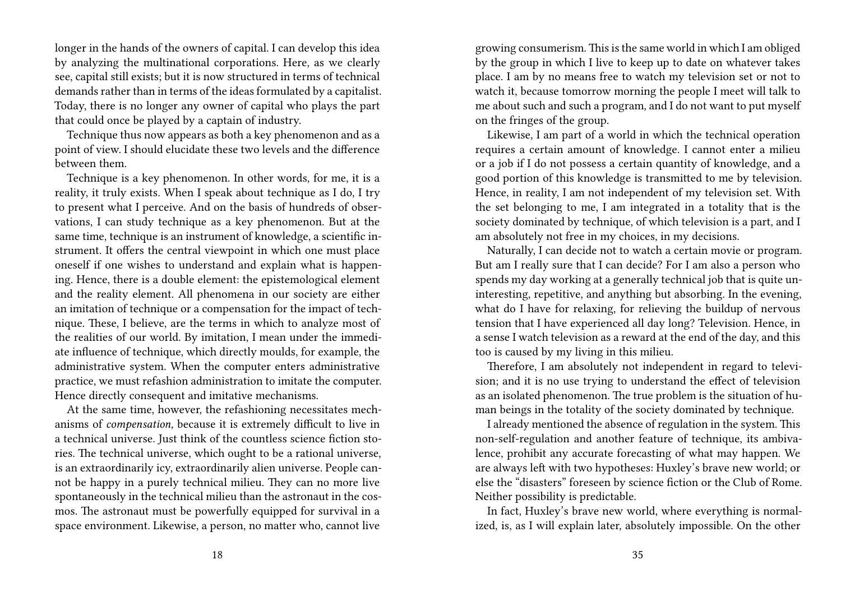longer in the hands of the owners of capital. I can develop this idea by analyzing the multinational corporations. Here, as we clearly see, capital still exists; but it is now structured in terms of technical demands rather than in terms of the ideas formulated by a capitalist. Today, there is no longer any owner of capital who plays the part that could once be played by a captain of industry.

Technique thus now appears as both a key phenomenon and as a point of view. I should elucidate these two levels and the difference between them.

Technique is a key phenomenon. In other words, for me, it is a reality, it truly exists. When I speak about technique as I do, I try to present what I perceive. And on the basis of hundreds of observations, I can study technique as a key phenomenon. But at the same time, technique is an instrument of knowledge, a scientific instrument. It offers the central viewpoint in which one must place oneself if one wishes to understand and explain what is happening. Hence, there is a double element: the epistemological element and the reality element. All phenomena in our society are either an imitation of technique or a compensation for the impact of technique. These, I believe, are the terms in which to analyze most of the realities of our world. By imitation, I mean under the immediate influence of technique, which directly moulds, for example, the administrative system. When the computer enters administrative practice, we must refashion administration to imitate the computer. Hence directly consequent and imitative mechanisms.

At the same time, however, the refashioning necessitates mechanisms of *compensation,* because it is extremely difficult to live in a technical universe. Just think of the countless science fiction stories. The technical universe, which ought to be a rational universe, is an extraordinarily icy, extraordinarily alien universe. People cannot be happy in a purely technical milieu. They can no more live spontaneously in the technical milieu than the astronaut in the cosmos. The astronaut must be powerfully equipped for survival in a space environment. Likewise, a person, no matter who, cannot live

growing consumerism. This is the same world in which I am obliged by the group in which I live to keep up to date on whatever takes place. I am by no means free to watch my television set or not to watch it, because tomorrow morning the people I meet will talk to me about such and such a program, and I do not want to put myself on the fringes of the group.

Likewise, I am part of a world in which the technical operation requires a certain amount of knowledge. I cannot enter a milieu or a job if I do not possess a certain quantity of knowledge, and a good portion of this knowledge is transmitted to me by television. Hence, in reality, I am not independent of my television set. With the set belonging to me, I am integrated in a totality that is the society dominated by technique, of which television is a part, and I am absolutely not free in my choices, in my decisions.

Naturally, I can decide not to watch a certain movie or program. But am I really sure that I can decide? For I am also a person who spends my day working at a generally technical job that is quite uninteresting, repetitive, and anything but absorbing. In the evening, what do I have for relaxing, for relieving the buildup of nervous tension that I have experienced all day long? Television. Hence, in a sense I watch television as a reward at the end of the day, and this too is caused by my living in this milieu.

Therefore, I am absolutely not independent in regard to television; and it is no use trying to understand the effect of television as an isolated phenomenon. The true problem is the situation of human beings in the totality of the society dominated by technique.

I already mentioned the absence of regulation in the system. This non-self-regulation and another feature of technique, its ambivalence, prohibit any accurate forecasting of what may happen. We are always left with two hypotheses: Huxley's brave new world; or else the "disasters" foreseen by science fiction or the Club of Rome. Neither possibility is predictable.

In fact, Huxley's brave new world, where everything is normalized, is, as I will explain later, absolutely impossible. On the other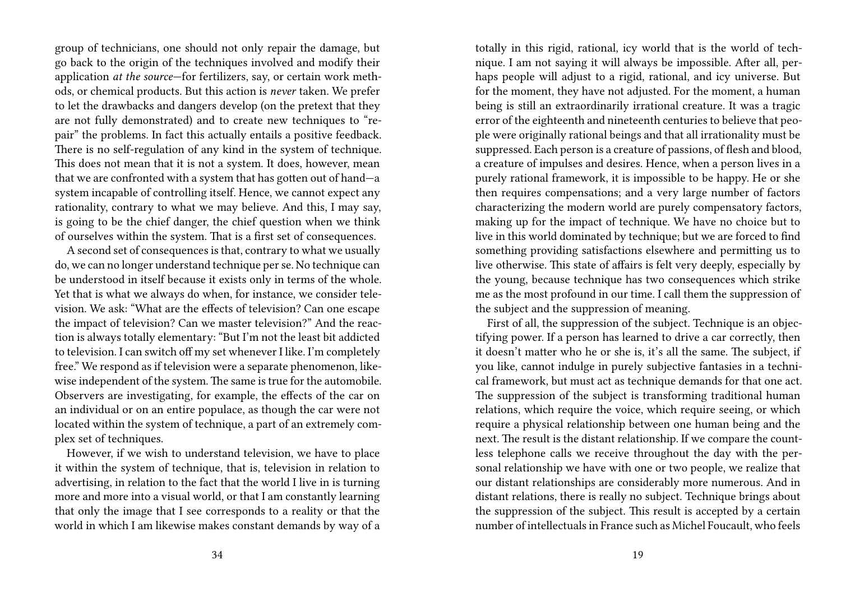group of technicians, one should not only repair the damage, but go back to the origin of the techniques involved and modify their application *at the source*—for fertilizers, say, or certain work methods, or chemical products. But this action is *never* taken. We prefer to let the drawbacks and dangers develop (on the pretext that they are not fully demonstrated) and to create new techniques to "repair" the problems. In fact this actually entails a positive feedback. There is no self-regulation of any kind in the system of technique. This does not mean that it is not a system. It does, however, mean that we are confronted with a system that has gotten out of hand—a system incapable of controlling itself. Hence, we cannot expect any rationality, contrary to what we may believe. And this, I may say, is going to be the chief danger, the chief question when we think of ourselves within the system. That is a first set of consequences.

A second set of consequences is that, contrary to what we usually do, we can no longer understand technique per se. No technique can be understood in itself because it exists only in terms of the whole. Yet that is what we always do when, for instance, we consider television. We ask: "What are the effects of television? Can one escape the impact of television? Can we master television?" And the reaction is always totally elementary: "But I'm not the least bit addicted to television. I can switch off my set whenever I like. I'm completely free." We respond as if television were a separate phenomenon, likewise independent of the system. The same is true for the automobile. Observers are investigating, for example, the effects of the car on an individual or on an entire populace, as though the car were not located within the system of technique, a part of an extremely complex set of techniques.

However, if we wish to understand television, we have to place it within the system of technique, that is, television in relation to advertising, in relation to the fact that the world I live in is turning more and more into a visual world, or that I am constantly learning that only the image that I see corresponds to a reality or that the world in which I am likewise makes constant demands by way of a totally in this rigid, rational, icy world that is the world of technique. I am not saying it will always be impossible. After all, perhaps people will adjust to a rigid, rational, and icy universe. But for the moment, they have not adjusted. For the moment, a human being is still an extraordinarily irrational creature. It was a tragic error of the eighteenth and nineteenth centuries to believe that people were originally rational beings and that all irrationality must be suppressed. Each person is a creature of passions, of flesh and blood, a creature of impulses and desires. Hence, when a person lives in a purely rational framework, it is impossible to be happy. He or she then requires compensations; and a very large number of factors characterizing the modern world are purely compensatory factors, making up for the impact of technique. We have no choice but to live in this world dominated by technique; but we are forced to find something providing satisfactions elsewhere and permitting us to live otherwise. This state of affairs is felt very deeply, especially by the young, because technique has two consequences which strike me as the most profound in our time. I call them the suppression of the subject and the suppression of meaning.

First of all, the suppression of the subject. Technique is an objectifying power. If a person has learned to drive a car correctly, then it doesn't matter who he or she is, it's all the same. The subject, if you like, cannot indulge in purely subjective fantasies in a technical framework, but must act as technique demands for that one act. The suppression of the subject is transforming traditional human relations, which require the voice, which require seeing, or which require a physical relationship between one human being and the next. The result is the distant relationship. If we compare the countless telephone calls we receive throughout the day with the personal relationship we have with one or two people, we realize that our distant relationships are considerably more numerous. And in distant relations, there is really no subject. Technique brings about the suppression of the subject. This result is accepted by a certain number of intellectuals in France such as Michel Foucault, who feels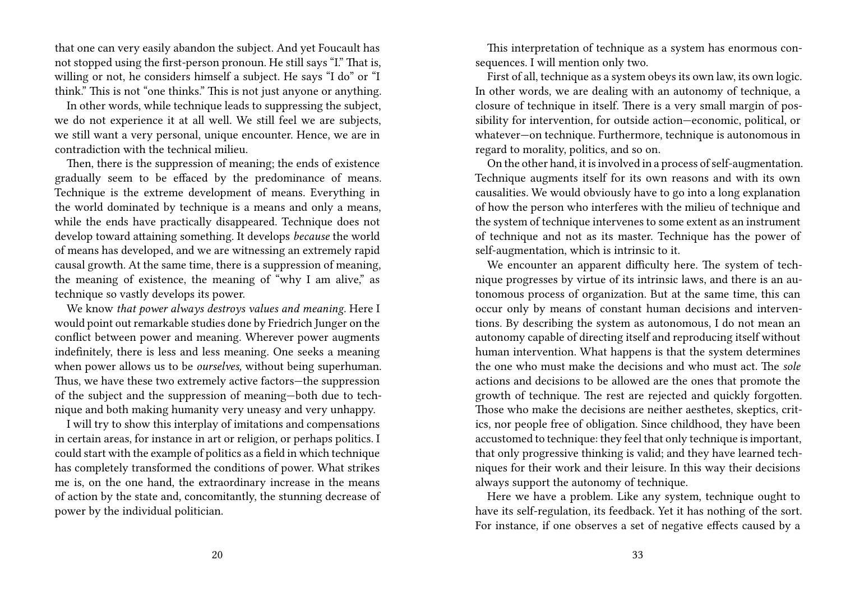that one can very easily abandon the subject. And yet Foucault has not stopped using the first-person pronoun. He still says "I." That is, willing or not, he considers himself a subject. He says "I do" or "I think." This is not "one thinks." This is not just anyone or anything.

In other words, while technique leads to suppressing the subject, we do not experience it at all well. We still feel we are subjects, we still want a very personal, unique encounter. Hence, we are in contradiction with the technical milieu.

Then, there is the suppression of meaning; the ends of existence gradually seem to be effaced by the predominance of means. Technique is the extreme development of means. Everything in the world dominated by technique is a means and only a means, while the ends have practically disappeared. Technique does not develop toward attaining something. It develops *because* the world of means has developed, and we are witnessing an extremely rapid causal growth. At the same time, there is a suppression of meaning, the meaning of existence, the meaning of "why I am alive," as technique so vastly develops its power.

We know *that power always destroys values and meaning.* Here I would point out remarkable studies done by Friedrich Junger on the conflict between power and meaning. Wherever power augments indefinitely, there is less and less meaning. One seeks a meaning when power allows us to be *ourselves,* without being superhuman. Thus, we have these two extremely active factors—the suppression of the subject and the suppression of meaning—both due to technique and both making humanity very uneasy and very unhappy.

I will try to show this interplay of imitations and compensations in certain areas, for instance in art or religion, or perhaps politics. I could start with the example of politics as a field in which technique has completely transformed the conditions of power. What strikes me is, on the one hand, the extraordinary increase in the means of action by the state and, concomitantly, the stunning decrease of power by the individual politician.

This interpretation of technique as a system has enormous consequences. I will mention only two.

First of all, technique as a system obeys its own law, its own logic. In other words, we are dealing with an autonomy of technique, a closure of technique in itself. There is a very small margin of possibility for intervention, for outside action—economic, political, or whatever—on technique. Furthermore, technique is autonomous in regard to morality, politics, and so on.

On the other hand, it is involved in a process of self-augmentation. Technique augments itself for its own reasons and with its own causalities. We would obviously have to go into a long explanation of how the person who interferes with the milieu of technique and the system of technique intervenes to some extent as an instrument of technique and not as its master. Technique has the power of self-augmentation, which is intrinsic to it.

We encounter an apparent difficulty here. The system of technique progresses by virtue of its intrinsic laws, and there is an autonomous process of organization. But at the same time, this can occur only by means of constant human decisions and interventions. By describing the system as autonomous, I do not mean an autonomy capable of directing itself and reproducing itself without human intervention. What happens is that the system determines the one who must make the decisions and who must act. The *sole* actions and decisions to be allowed are the ones that promote the growth of technique. The rest are rejected and quickly forgotten. Those who make the decisions are neither aesthetes, skeptics, critics, nor people free of obligation. Since childhood, they have been accustomed to technique: they feel that only technique is important, that only progressive thinking is valid; and they have learned techniques for their work and their leisure. In this way their decisions always support the autonomy of technique.

Here we have a problem. Like any system, technique ought to have its self-regulation, its feedback. Yet it has nothing of the sort. For instance, if one observes a set of negative effects caused by a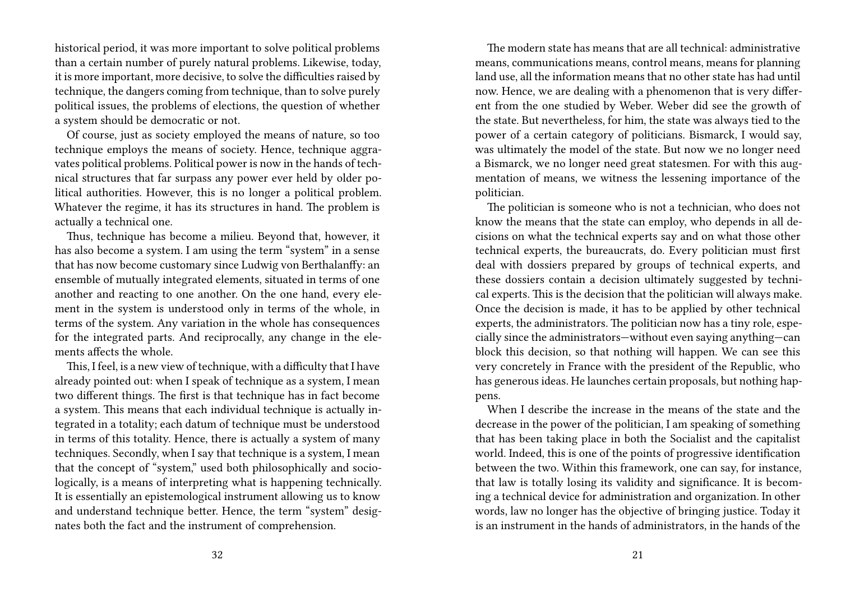historical period, it was more important to solve political problems than a certain number of purely natural problems. Likewise, today, it is more important, more decisive, to solve the difficulties raised by technique, the dangers coming from technique, than to solve purely political issues, the problems of elections, the question of whether a system should be democratic or not.

Of course, just as society employed the means of nature, so too technique employs the means of society. Hence, technique aggravates political problems. Political power is now in the hands of technical structures that far surpass any power ever held by older political authorities. However, this is no longer a political problem. Whatever the regime, it has its structures in hand. The problem is actually a technical one.

Thus, technique has become a milieu. Beyond that, however, it has also become a system. I am using the term "system" in a sense that has now become customary since Ludwig von Berthalanffy: an ensemble of mutually integrated elements, situated in terms of one another and reacting to one another. On the one hand, every element in the system is understood only in terms of the whole, in terms of the system. Any variation in the whole has consequences for the integrated parts. And reciprocally, any change in the elements affects the whole.

This, I feel, is a new view of technique, with a difficulty that I have already pointed out: when I speak of technique as a system, I mean two different things. The first is that technique has in fact become a system. This means that each individual technique is actually integrated in a totality; each datum of technique must be understood in terms of this totality. Hence, there is actually a system of many techniques. Secondly, when I say that technique is a system, I mean that the concept of "system," used both philosophically and sociologically, is a means of interpreting what is happening technically. It is essentially an epistemological instrument allowing us to know and understand technique better. Hence, the term "system" designates both the fact and the instrument of comprehension.

The modern state has means that are all technical: administrative means, communications means, control means, means for planning land use, all the information means that no other state has had until now. Hence, we are dealing with a phenomenon that is very different from the one studied by Weber. Weber did see the growth of the state. But nevertheless, for him, the state was always tied to the power of a certain category of politicians. Bismarck, I would say, was ultimately the model of the state. But now we no longer need a Bismarck, we no longer need great statesmen. For with this augmentation of means, we witness the lessening importance of the politician.

The politician is someone who is not a technician, who does not know the means that the state can employ, who depends in all decisions on what the technical experts say and on what those other technical experts, the bureaucrats, do. Every politician must first deal with dossiers prepared by groups of technical experts, and these dossiers contain a decision ultimately suggested by technical experts. This is the decision that the politician will always make. Once the decision is made, it has to be applied by other technical experts, the administrators. The politician now has a tiny role, especially since the administrators—without even saying anything—can block this decision, so that nothing will happen. We can see this very concretely in France with the president of the Republic, who has generous ideas. He launches certain proposals, but nothing happens.

When I describe the increase in the means of the state and the decrease in the power of the politician, I am speaking of something that has been taking place in both the Socialist and the capitalist world. Indeed, this is one of the points of progressive identification between the two. Within this framework, one can say, for instance, that law is totally losing its validity and significance. It is becoming a technical device for administration and organization. In other words, law no longer has the objective of bringing justice. Today it is an instrument in the hands of administrators, in the hands of the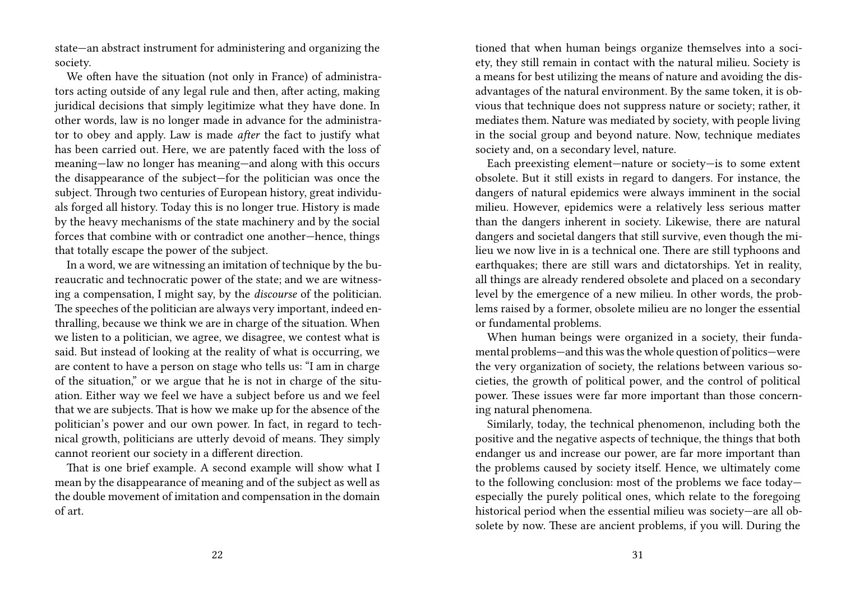state—an abstract instrument for administering and organizing the society.

We often have the situation (not only in France) of administrators acting outside of any legal rule and then, after acting, making juridical decisions that simply legitimize what they have done. In other words, law is no longer made in advance for the administrator to obey and apply. Law is made *after* the fact to justify what has been carried out. Here, we are patently faced with the loss of meaning—law no longer has meaning—and along with this occurs the disappearance of the subject—for the politician was once the subject. Through two centuries of European history, great individuals forged all history. Today this is no longer true. History is made by the heavy mechanisms of the state machinery and by the social forces that combine with or contradict one another—hence, things that totally escape the power of the subject.

In a word, we are witnessing an imitation of technique by the bureaucratic and technocratic power of the state; and we are witnessing a compensation, I might say, by the *discourse* of the politician. The speeches of the politician are always very important, indeed enthralling, because we think we are in charge of the situation. When we listen to a politician, we agree, we disagree, we contest what is said. But instead of looking at the reality of what is occurring, we are content to have a person on stage who tells us: "I am in charge of the situation," or we argue that he is not in charge of the situation. Either way we feel we have a subject before us and we feel that we are subjects. That is how we make up for the absence of the politician's power and our own power. In fact, in regard to technical growth, politicians are utterly devoid of means. They simply cannot reorient our society in a different direction.

That is one brief example. A second example will show what I mean by the disappearance of meaning and of the subject as well as the double movement of imitation and compensation in the domain of art.

tioned that when human beings organize themselves into a society, they still remain in contact with the natural milieu. Society is a means for best utilizing the means of nature and avoiding the disadvantages of the natural environment. By the same token, it is obvious that technique does not suppress nature or society; rather, it mediates them. Nature was mediated by society, with people living in the social group and beyond nature. Now, technique mediates society and, on a secondary level, nature.

Each preexisting element—nature or society—is to some extent obsolete. But it still exists in regard to dangers. For instance, the dangers of natural epidemics were always imminent in the social milieu. However, epidemics were a relatively less serious matter than the dangers inherent in society. Likewise, there are natural dangers and societal dangers that still survive, even though the milieu we now live in is a technical one. There are still typhoons and earthquakes; there are still wars and dictatorships. Yet in reality, all things are already rendered obsolete and placed on a secondary level by the emergence of a new milieu. In other words, the problems raised by a former, obsolete milieu are no longer the essential or fundamental problems.

When human beings were organized in a society, their fundamental problems—and this was the whole question of politics—were the very organization of society, the relations between various societies, the growth of political power, and the control of political power. These issues were far more important than those concerning natural phenomena.

Similarly, today, the technical phenomenon, including both the positive and the negative aspects of technique, the things that both endanger us and increase our power, are far more important than the problems caused by society itself. Hence, we ultimately come to the following conclusion: most of the problems we face today especially the purely political ones, which relate to the foregoing historical period when the essential milieu was society—are all obsolete by now. These are ancient problems, if you will. During the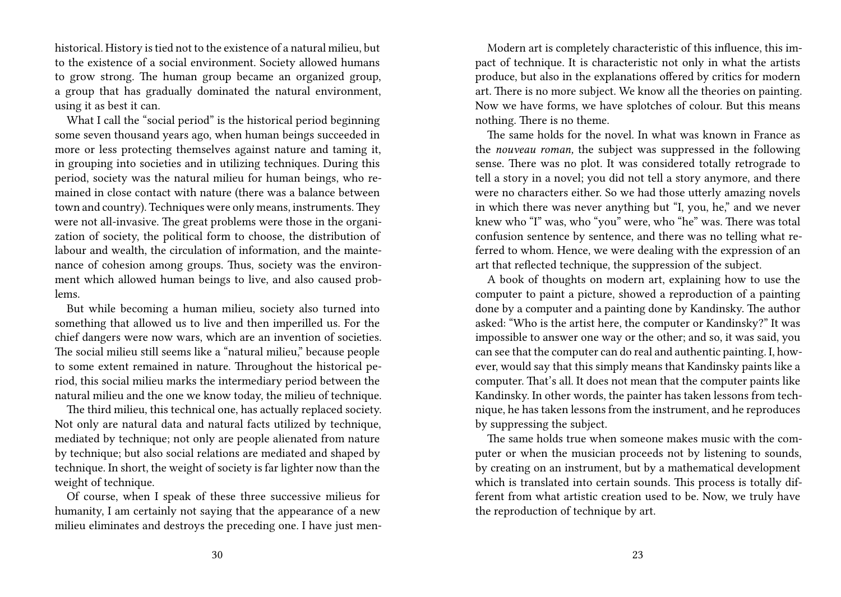historical. History is tied not to the existence of a natural milieu, but to the existence of a social environment. Society allowed humans to grow strong. The human group became an organized group, a group that has gradually dominated the natural environment, using it as best it can.

What I call the "social period" is the historical period beginning some seven thousand years ago, when human beings succeeded in more or less protecting themselves against nature and taming it, in grouping into societies and in utilizing techniques. During this period, society was the natural milieu for human beings, who remained in close contact with nature (there was a balance between town and country). Techniques were only means, instruments.They were not all-invasive. The great problems were those in the organization of society, the political form to choose, the distribution of labour and wealth, the circulation of information, and the maintenance of cohesion among groups. Thus, society was the environment which allowed human beings to live, and also caused problems.

But while becoming a human milieu, society also turned into something that allowed us to live and then imperilled us. For the chief dangers were now wars, which are an invention of societies. The social milieu still seems like a "natural milieu," because people to some extent remained in nature. Throughout the historical period, this social milieu marks the intermediary period between the natural milieu and the one we know today, the milieu of technique.

The third milieu, this technical one, has actually replaced society. Not only are natural data and natural facts utilized by technique, mediated by technique; not only are people alienated from nature by technique; but also social relations are mediated and shaped by technique. In short, the weight of society is far lighter now than the weight of technique.

Of course, when I speak of these three successive milieus for humanity, I am certainly not saying that the appearance of a new milieu eliminates and destroys the preceding one. I have just men-

Modern art is completely characteristic of this influence, this impact of technique. It is characteristic not only in what the artists produce, but also in the explanations offered by critics for modern art. There is no more subject. We know all the theories on painting. Now we have forms, we have splotches of colour. But this means nothing. There is no theme.

The same holds for the novel. In what was known in France as the *nouveau roman,* the subject was suppressed in the following sense. There was no plot. It was considered totally retrograde to tell a story in a novel; you did not tell a story anymore, and there were no characters either. So we had those utterly amazing novels in which there was never anything but "I, you, he," and we never knew who "I" was, who "you" were, who "he" was. There was total confusion sentence by sentence, and there was no telling what referred to whom. Hence, we were dealing with the expression of an art that reflected technique, the suppression of the subject.

A book of thoughts on modern art, explaining how to use the computer to paint a picture, showed a reproduction of a painting done by a computer and a painting done by Kandinsky. The author asked: "Who is the artist here, the computer or Kandinsky?" It was impossible to answer one way or the other; and so, it was said, you can see that the computer can do real and authentic painting. I, however, would say that this simply means that Kandinsky paints like a computer. That's all. It does not mean that the computer paints like Kandinsky. In other words, the painter has taken lessons from technique, he has taken lessons from the instrument, and he reproduces by suppressing the subject.

The same holds true when someone makes music with the computer or when the musician proceeds not by listening to sounds, by creating on an instrument, but by a mathematical development which is translated into certain sounds. This process is totally different from what artistic creation used to be. Now, we truly have the reproduction of technique by art.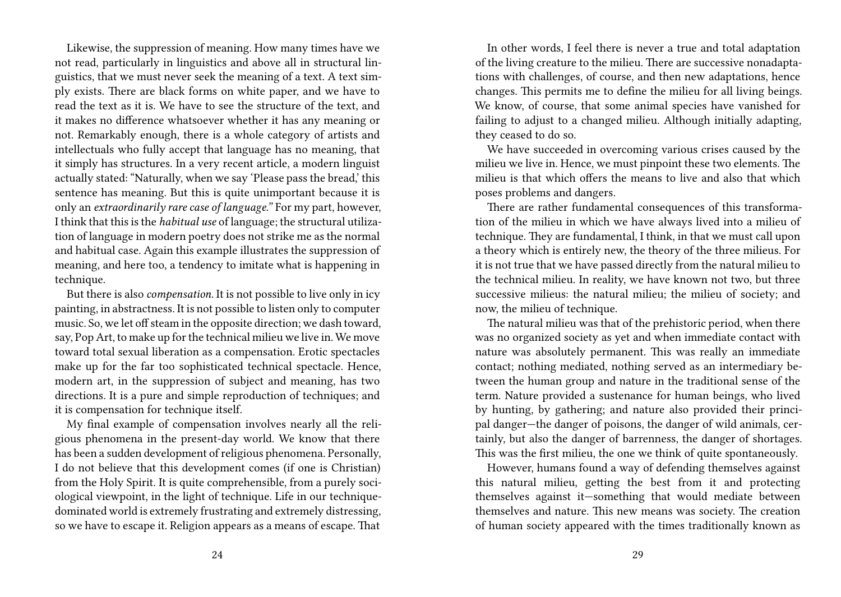Likewise, the suppression of meaning. How many times have we not read, particularly in linguistics and above all in structural linguistics, that we must never seek the meaning of a text. A text simply exists. There are black forms on white paper, and we have to read the text as it is. We have to see the structure of the text, and it makes no difference whatsoever whether it has any meaning or not. Remarkably enough, there is a whole category of artists and intellectuals who fully accept that language has no meaning, that it simply has structures. In a very recent article, a modern linguist actually stated: "Naturally, when we say 'Please pass the bread,' this sentence has meaning. But this is quite unimportant because it is only an *extraordinarily rare case of language."* For my part, however, I think that this is the *habitual use* of language; the structural utilization of language in modern poetry does not strike me as the normal and habitual case. Again this example illustrates the suppression of meaning, and here too, a tendency to imitate what is happening in technique.

But there is also *compensation.* It is not possible to live only in icy painting, in abstractness. It is not possible to listen only to computer music. So, we let off steam in the opposite direction; we dash toward, say, Pop Art, to make up for the technical milieu we live in. We move toward total sexual liberation as a compensation. Erotic spectacles make up for the far too sophisticated technical spectacle. Hence, modern art, in the suppression of subject and meaning, has two directions. It is a pure and simple reproduction of techniques; and it is compensation for technique itself.

My final example of compensation involves nearly all the religious phenomena in the present-day world. We know that there has been a sudden development of religious phenomena. Personally, I do not believe that this development comes (if one is Christian) from the Holy Spirit. It is quite comprehensible, from a purely sociological viewpoint, in the light of technique. Life in our techniquedominated world is extremely frustrating and extremely distressing, so we have to escape it. Religion appears as a means of escape. That

In other words, I feel there is never a true and total adaptation of the living creature to the milieu. There are successive nonadaptations with challenges, of course, and then new adaptations, hence changes. This permits me to define the milieu for all living beings. We know, of course, that some animal species have vanished for failing to adjust to a changed milieu. Although initially adapting, they ceased to do so.

We have succeeded in overcoming various crises caused by the milieu we live in. Hence, we must pinpoint these two elements. The milieu is that which offers the means to live and also that which poses problems and dangers.

There are rather fundamental consequences of this transformation of the milieu in which we have always lived into a milieu of technique. They are fundamental, I think, in that we must call upon a theory which is entirely new, the theory of the three milieus. For it is not true that we have passed directly from the natural milieu to the technical milieu. In reality, we have known not two, but three successive milieus: the natural milieu; the milieu of society; and now, the milieu of technique.

The natural milieu was that of the prehistoric period, when there was no organized society as yet and when immediate contact with nature was absolutely permanent. This was really an immediate contact; nothing mediated, nothing served as an intermediary between the human group and nature in the traditional sense of the term. Nature provided a sustenance for human beings, who lived by hunting, by gathering; and nature also provided their principal danger—the danger of poisons, the danger of wild animals, certainly, but also the danger of barrenness, the danger of shortages. This was the first milieu, the one we think of quite spontaneously.

However, humans found a way of defending themselves against this natural milieu, getting the best from it and protecting themselves against it—something that would mediate between themselves and nature. This new means was society. The creation of human society appeared with the times traditionally known as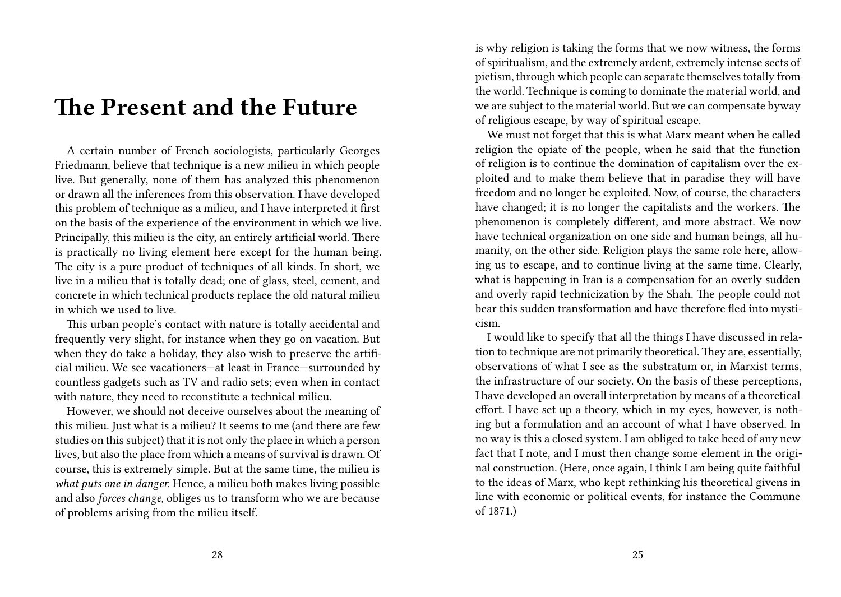## **The Present and the Future**

A certain number of French sociologists, particularly Georges Friedmann, believe that technique is a new milieu in which people live. But generally, none of them has analyzed this phenomenon or drawn all the inferences from this observation. I have developed this problem of technique as a milieu, and I have interpreted it first on the basis of the experience of the environment in which we live. Principally, this milieu is the city, an entirely artificial world. There is practically no living element here except for the human being. The city is a pure product of techniques of all kinds. In short, we live in a milieu that is totally dead; one of glass, steel, cement, and concrete in which technical products replace the old natural milieu in which we used to live.

This urban people's contact with nature is totally accidental and frequently very slight, for instance when they go on vacation. But when they do take a holiday, they also wish to preserve the artificial milieu. We see vacationers—at least in France—surrounded by countless gadgets such as TV and radio sets; even when in contact with nature, they need to reconstitute a technical milieu.

However, we should not deceive ourselves about the meaning of this milieu. Just what is a milieu? It seems to me (and there are few studies on this subject) that it is not only the place in which a person lives, but also the place from which a means of survival is drawn. Of course, this is extremely simple. But at the same time, the milieu is *what puts one in danger.* Hence, a milieu both makes living possible and also *forces change,* obliges us to transform who we are because of problems arising from the milieu itself.

is why religion is taking the forms that we now witness, the forms of spiritualism, and the extremely ardent, extremely intense sects of pietism, through which people can separate themselves totally from the world. Technique is coming to dominate the material world, and we are subject to the material world. But we can compensate byway of religious escape, by way of spiritual escape.

We must not forget that this is what Marx meant when he called religion the opiate of the people, when he said that the function of religion is to continue the domination of capitalism over the exploited and to make them believe that in paradise they will have freedom and no longer be exploited. Now, of course, the characters have changed; it is no longer the capitalists and the workers. The phenomenon is completely different, and more abstract. We now have technical organization on one side and human beings, all humanity, on the other side. Religion plays the same role here, allowing us to escape, and to continue living at the same time. Clearly, what is happening in Iran is a compensation for an overly sudden and overly rapid technicization by the Shah. The people could not bear this sudden transformation and have therefore fled into mysticism.

I would like to specify that all the things I have discussed in relation to technique are not primarily theoretical. They are, essentially, observations of what I see as the substratum or, in Marxist terms, the infrastructure of our society. On the basis of these perceptions, I have developed an overall interpretation by means of a theoretical effort. I have set up a theory, which in my eyes, however, is nothing but a formulation and an account of what I have observed. In no way is this a closed system. I am obliged to take heed of any new fact that I note, and I must then change some element in the original construction. (Here, once again, I think I am being quite faithful to the ideas of Marx, who kept rethinking his theoretical givens in line with economic or political events, for instance the Commune of 1871.)